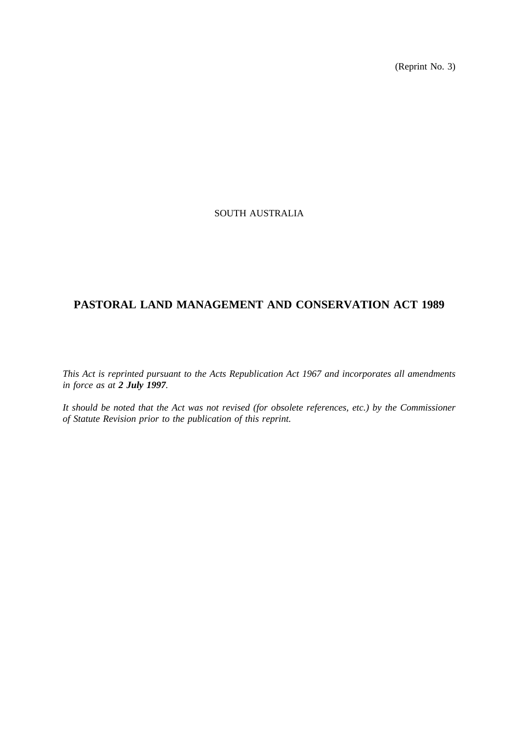(Reprint No. 3)

## SOUTH AUSTRALIA

# **PASTORAL LAND MANAGEMENT AND CONSERVATION ACT 1989**

*This Act is reprinted pursuant to the Acts Republication Act 1967 and incorporates all amendments in force as at 2 July 1997.*

*It should be noted that the Act was not revised (for obsolete references, etc.) by the Commissioner of Statute Revision prior to the publication of this reprint.*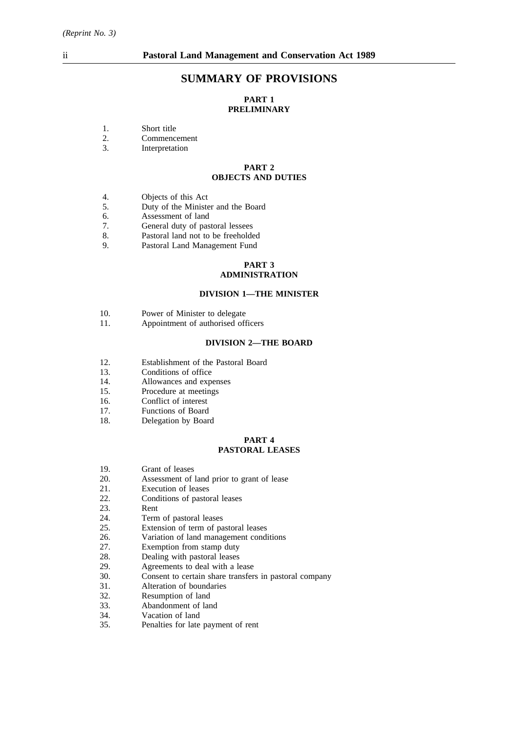# **SUMMARY OF PROVISIONS**

## **PART 1 PRELIMINARY**

- 1. Short title<br>2. Commence
- 2. Commencement<br>3. Interpretation
- **Interpretation**

## **PART 2 OBJECTS AND DUTIES**

- 4. **Objects of this Act** 5. **Duty of the Minister**
- 5. Duty of the Minister and the Board
- 6. Assessment of land<br>7. General duty of pas
- 7. General duty of pastoral lessees<br>8. Pastoral land not to be freeholde
- Pastoral land not to be freeholded
- 9. Pastoral Land Management Fund

#### **PART 3 ADMINISTRATION**

### **DIVISION 1—THE MINISTER**

- 10. Power of Minister to delegate<br>11. Appointment of authorised off
- Appointment of authorised officers

### **DIVISION 2—THE BOARD**

- 12. Establishment of the Pastoral Board
- 13. Conditions of office
- 14. Allowances and expenses
- 15. Procedure at meetings
- 16. Conflict of interest
- 17. Functions of Board
- 18. Delegation by Board

#### **PART 4 PASTORAL LEASES**

- 19. Grant of leases
- 20. Assessment of land prior to grant of lease<br>21. Execution of leases
- Execution of leases
- 22. Conditions of pastoral leases
- 23. Rent
- 
- 24. Term of pastoral leases<br>25. Extension of term of pa Extension of term of pastoral leases
- 26. Variation of land management conditions
- 
- 27. Exemption from stamp duty<br>28. Dealing with pastoral leases
- 28. Dealing with pastoral leases<br>29. Agreements to deal with a le 29. Agreements to deal with a lease<br>30. Consent to certain share transfer.
- Consent to certain share transfers in pastoral company
- 31. Alteration of boundaries
- 32. Resumption of land
- 33. Abandonment of land
- 34. Vacation of land<br>35. Penalties for late
- 35. Penalties for late payment of rent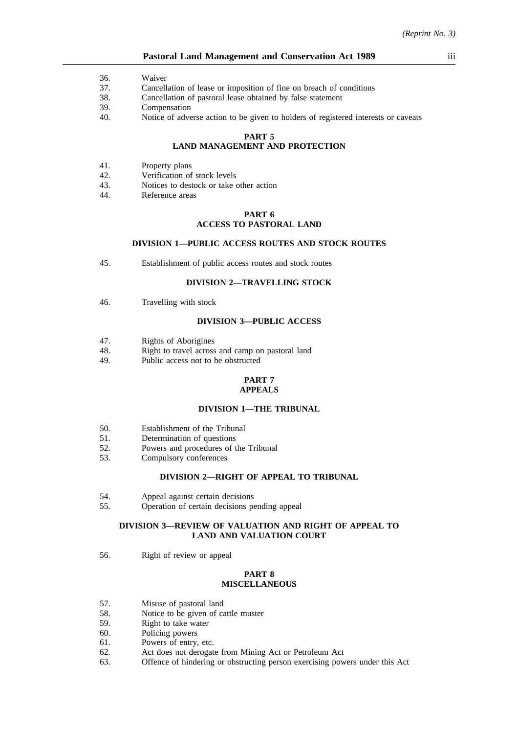#### **Pastoral Land Management and Conservation Act 1989** iii

- 36. Waiver
- 37. Cancellation of lease or imposition of fine on breach of conditions
- 38. Cancellation of pastoral lease obtained by false statement
- 39. Compensation
- 40. Notice of adverse action to be given to holders of registered interests or caveats

#### **PART 5**

## **LAND MANAGEMENT AND PROTECTION**

- 41. Property plans
- 42. Verification of stock levels
- 43. Notices to destock or take other action
- 44. Reference areas

#### **PART 6 ACCESS TO PASTORAL LAND**

## **DIVISION 1—PUBLIC ACCESS ROUTES AND STOCK ROUTES**

45. Establishment of public access routes and stock routes

## **DIVISION 2—TRAVELLING STOCK**

46. Travelling with stock

#### **DIVISION 3—PUBLIC ACCESS**

- 47. Rights of Aborigines
- 48. Right to travel across and camp on pastoral land
- 49. Public access not to be obstructed

#### **PART 7 APPEALS**

#### **DIVISION 1—THE TRIBUNAL**

- 50. Establishment of the Tribunal
- 51. Determination of questions
- 52. Powers and procedures of the Tribunal
- 53. Compulsory conferences

#### **DIVISION 2—RIGHT OF APPEAL TO TRIBUNAL**

- 54. Appeal against certain decisions
- 55. Operation of certain decisions pending appeal

#### **DIVISION 3—REVIEW OF VALUATION AND RIGHT OF APPEAL TO LAND AND VALUATION COURT**

56. Right of review or appeal

#### **PART 8 MISCELLANEOUS**

- 57. Misuse of pastoral land
- 58. Notice to be given of cattle muster
- 59. Right to take water
- 60. Policing powers
- 61. Powers of entry, etc.
- 62. Act does not derogate from Mining Act or Petroleum Act
- 63. Offence of hindering or obstructing person exercising powers under this Act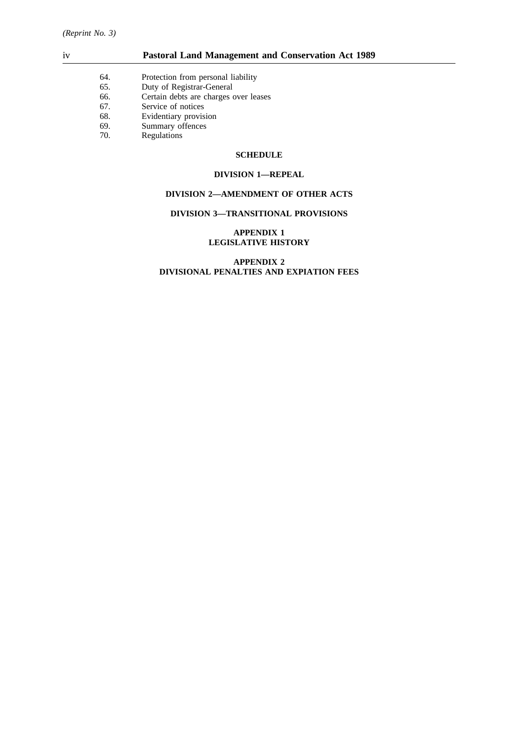- 64. Protection from personal liability<br>65. Duty of Registrar-General
- 65. Duty of Registrar-General<br>66. Certain debts are charges of
- 66. Certain debts are charges over leases<br>67. Service of notices
- 
- 67. Service of notices<br>68. Evidentiary provisi Evidentiary provision
- 69. Summary offences<br>70. Regulations
- Regulations

## **SCHEDULE**

### **DIVISION 1—REPEAL**

### **DIVISION 2—AMENDMENT OF OTHER ACTS**

#### **DIVISION 3—TRANSITIONAL PROVISIONS**

### **APPENDIX 1 LEGISLATIVE HISTORY**

## **APPENDIX 2 DIVISIONAL PENALTIES AND EXPIATION FEES**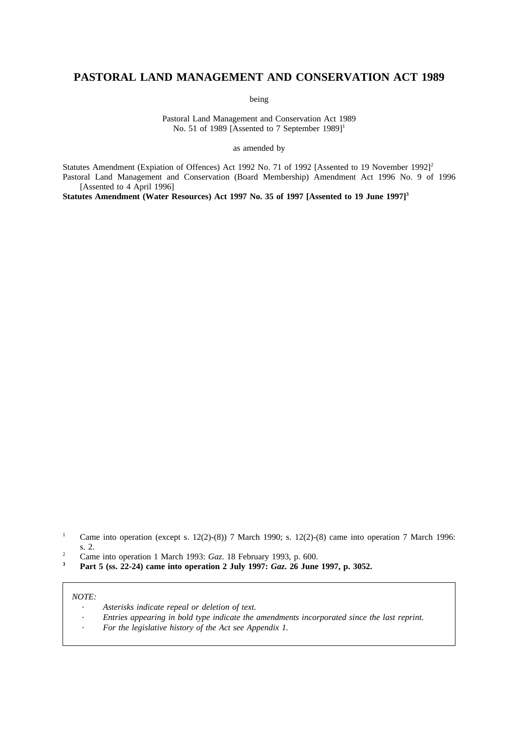# **PASTORAL LAND MANAGEMENT AND CONSERVATION ACT 1989**

being

Pastoral Land Management and Conservation Act 1989 No. 51 of 1989 [Assented to 7 September 1989]<sup>1</sup>

as amended by

Statutes Amendment (Expiation of Offences) Act 1992 No. 71 of 1992 [Assented to 19 November 1992]<sup>2</sup> Pastoral Land Management and Conservation (Board Membership) Amendment Act 1996 No. 9 of 1996 [Assented to 4 April 1996]

Statutes Amendment (Water Resources) Act 1997 No. 35 of 1997 [Assented to 19 June 1997]<sup>3</sup>

- <sup>1</sup> Came into operation (except s. 12(2)-(8)) 7 March 1990; s. 12(2)-(8) came into operation 7 March 1996: s. 2.
- <sup>2</sup> Came into operation 1 March 1993: *Gaz*. 18 February 1993, p. 600.<br>**2 Don't**  $\frac{5}{2}$  (sq. 22.24) game into operation 2 July 1997: *Caz*. 26 June
- **<sup>3</sup> Part 5 (ss. 22-24) came into operation 2 July 1997:** *Gaz***. 26 June 1997, p. 3052.**

#### *NOTE:*

- *Asterisks indicate repeal or deletion of text.*
- *Entries appearing in bold type indicate the amendments incorporated since the last reprint.*
- *For the legislative history of the Act see Appendix 1.*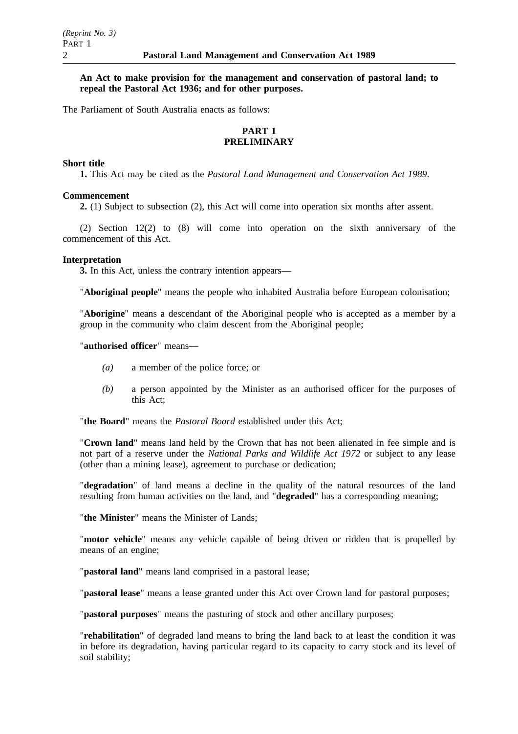## **An Act to make provision for the management and conservation of pastoral land; to repeal the Pastoral Act 1936; and for other purposes.**

The Parliament of South Australia enacts as follows:

## **PART 1 PRELIMINARY**

## **Short title**

**1.** This Act may be cited as the *Pastoral Land Management and Conservation Act 1989*.

## **Commencement**

**2.** (1) Subject to subsection (2), this Act will come into operation six months after assent.

(2) Section 12(2) to (8) will come into operation on the sixth anniversary of the commencement of this Act.

## **Interpretation**

**3.** In this Act, unless the contrary intention appears—

"**Aboriginal people**" means the people who inhabited Australia before European colonisation;

"**Aborigine**" means a descendant of the Aboriginal people who is accepted as a member by a group in the community who claim descent from the Aboriginal people;

## "**authorised officer**" means—

- *(a)* a member of the police force; or
- *(b)* a person appointed by the Minister as an authorised officer for the purposes of this Act;

"**the Board**" means the *Pastoral Board* established under this Act;

"**Crown land**" means land held by the Crown that has not been alienated in fee simple and is not part of a reserve under the *National Parks and Wildlife Act 1972* or subject to any lease (other than a mining lease), agreement to purchase or dedication;

"**degradation**" of land means a decline in the quality of the natural resources of the land resulting from human activities on the land, and "**degraded**" has a corresponding meaning;

"**the Minister**" means the Minister of Lands;

"**motor vehicle**" means any vehicle capable of being driven or ridden that is propelled by means of an engine;

"**pastoral land**" means land comprised in a pastoral lease;

"**pastoral lease**" means a lease granted under this Act over Crown land for pastoral purposes;

"**pastoral purposes**" means the pasturing of stock and other ancillary purposes;

"**rehabilitation**" of degraded land means to bring the land back to at least the condition it was in before its degradation, having particular regard to its capacity to carry stock and its level of soil stability;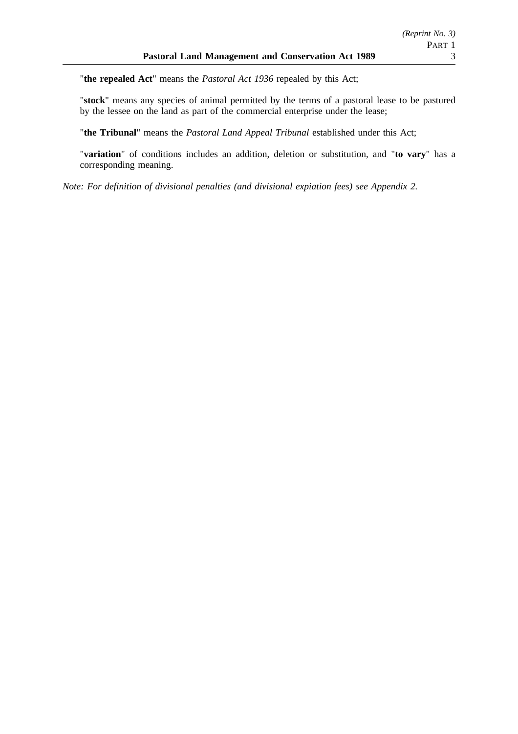"**the repealed Act**" means the *Pastoral Act 1936* repealed by this Act;

"**stock**" means any species of animal permitted by the terms of a pastoral lease to be pastured by the lessee on the land as part of the commercial enterprise under the lease;

"**the Tribunal**" means the *Pastoral Land Appeal Tribunal* established under this Act;

"**variation**" of conditions includes an addition, deletion or substitution, and "**to vary**" has a corresponding meaning.

*Note: For definition of divisional penalties (and divisional expiation fees) see Appendix 2.*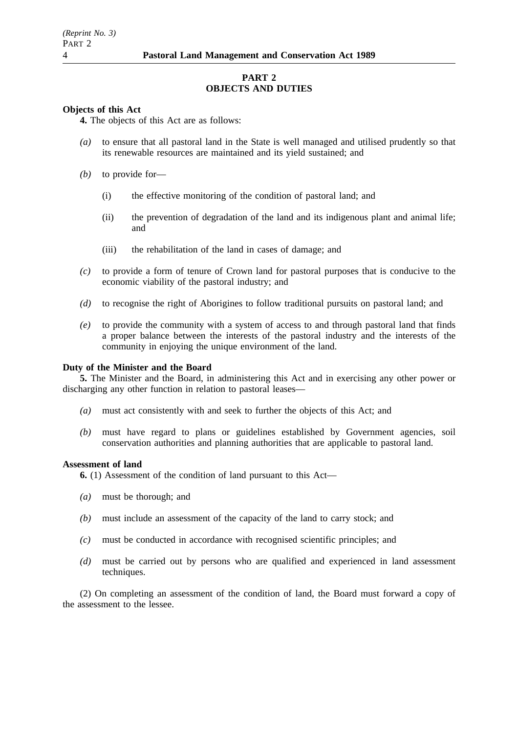## **PART 2 OBJECTS AND DUTIES**

## **Objects of this Act**

**4.** The objects of this Act are as follows:

- *(a)* to ensure that all pastoral land in the State is well managed and utilised prudently so that its renewable resources are maintained and its yield sustained; and
- *(b)* to provide for—
	- (i) the effective monitoring of the condition of pastoral land; and
	- (ii) the prevention of degradation of the land and its indigenous plant and animal life; and
	- (iii) the rehabilitation of the land in cases of damage; and
- *(c)* to provide a form of tenure of Crown land for pastoral purposes that is conducive to the economic viability of the pastoral industry; and
- *(d)* to recognise the right of Aborigines to follow traditional pursuits on pastoral land; and
- *(e)* to provide the community with a system of access to and through pastoral land that finds a proper balance between the interests of the pastoral industry and the interests of the community in enjoying the unique environment of the land.

## **Duty of the Minister and the Board**

**5.** The Minister and the Board, in administering this Act and in exercising any other power or discharging any other function in relation to pastoral leases—

- *(a)* must act consistently with and seek to further the objects of this Act; and
- *(b)* must have regard to plans or guidelines established by Government agencies, soil conservation authorities and planning authorities that are applicable to pastoral land.

## **Assessment of land**

**6.** (1) Assessment of the condition of land pursuant to this Act—

- *(a)* must be thorough; and
- *(b)* must include an assessment of the capacity of the land to carry stock; and
- *(c)* must be conducted in accordance with recognised scientific principles; and
- *(d)* must be carried out by persons who are qualified and experienced in land assessment techniques.

(2) On completing an assessment of the condition of land, the Board must forward a copy of the assessment to the lessee.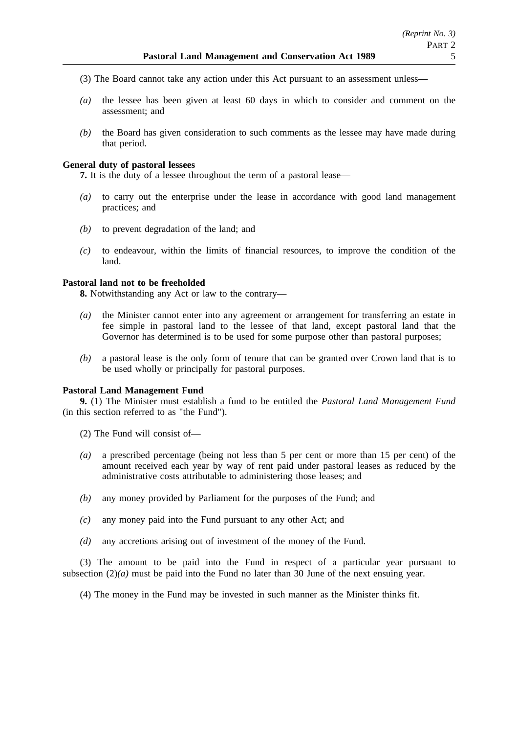- (3) The Board cannot take any action under this Act pursuant to an assessment unless—
- *(a)* the lessee has been given at least 60 days in which to consider and comment on the assessment; and
- *(b)* the Board has given consideration to such comments as the lessee may have made during that period.

## **General duty of pastoral lessees**

**7.** It is the duty of a lessee throughout the term of a pastoral lease—

- *(a)* to carry out the enterprise under the lease in accordance with good land management practices; and
- *(b)* to prevent degradation of the land; and
- *(c)* to endeavour, within the limits of financial resources, to improve the condition of the land.

## **Pastoral land not to be freeholded**

**8.** Notwithstanding any Act or law to the contrary—

- *(a)* the Minister cannot enter into any agreement or arrangement for transferring an estate in fee simple in pastoral land to the lessee of that land, except pastoral land that the Governor has determined is to be used for some purpose other than pastoral purposes;
- *(b)* a pastoral lease is the only form of tenure that can be granted over Crown land that is to be used wholly or principally for pastoral purposes.

## **Pastoral Land Management Fund**

**9.** (1) The Minister must establish a fund to be entitled the *Pastoral Land Management Fund* (in this section referred to as "the Fund").

(2) The Fund will consist of—

- *(a)* a prescribed percentage (being not less than 5 per cent or more than 15 per cent) of the amount received each year by way of rent paid under pastoral leases as reduced by the administrative costs attributable to administering those leases; and
- *(b)* any money provided by Parliament for the purposes of the Fund; and
- *(c)* any money paid into the Fund pursuant to any other Act; and
- *(d)* any accretions arising out of investment of the money of the Fund.

(3) The amount to be paid into the Fund in respect of a particular year pursuant to subsection (2)*(a)* must be paid into the Fund no later than 30 June of the next ensuing year.

(4) The money in the Fund may be invested in such manner as the Minister thinks fit.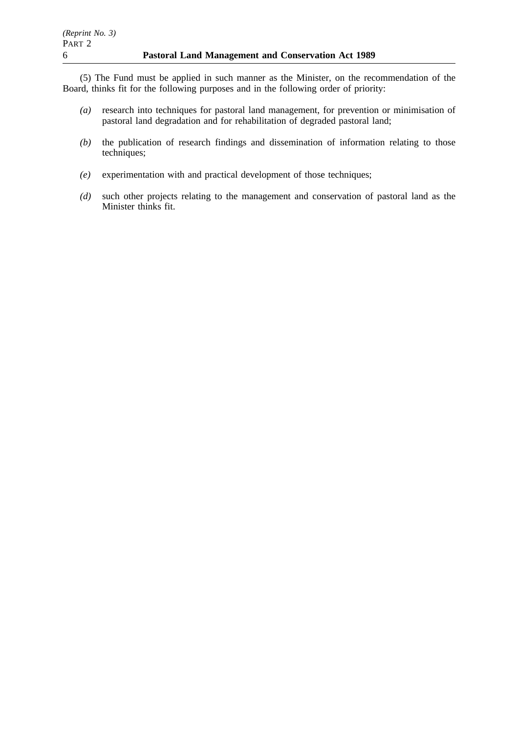(5) The Fund must be applied in such manner as the Minister, on the recommendation of the Board, thinks fit for the following purposes and in the following order of priority:

- *(a)* research into techniques for pastoral land management, for prevention or minimisation of pastoral land degradation and for rehabilitation of degraded pastoral land;
- *(b)* the publication of research findings and dissemination of information relating to those techniques;
- *(e)* experimentation with and practical development of those techniques;
- *(d)* such other projects relating to the management and conservation of pastoral land as the Minister thinks fit.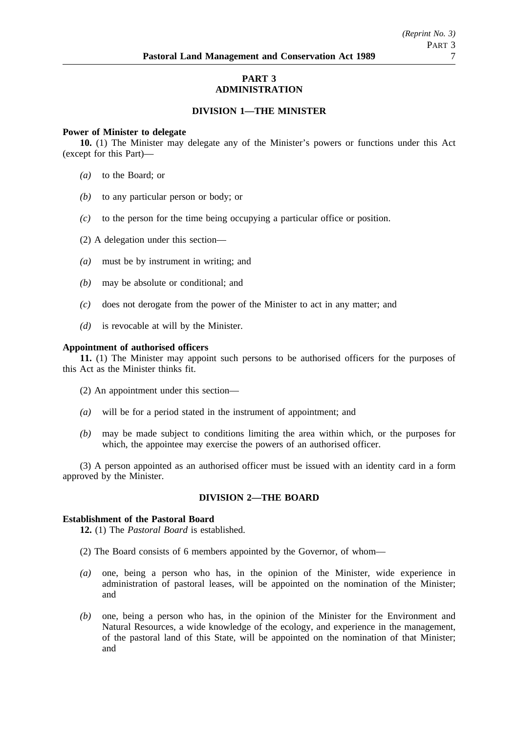## **PART 3 ADMINISTRATION**

## **DIVISION 1—THE MINISTER**

### **Power of Minister to delegate**

**10.** (1) The Minister may delegate any of the Minister's powers or functions under this Act (except for this Part)—

- *(a)* to the Board; or
- *(b)* to any particular person or body; or
- *(c)* to the person for the time being occupying a particular office or position.
- (2) A delegation under this section—
- *(a)* must be by instrument in writing; and
- *(b)* may be absolute or conditional; and
- *(c)* does not derogate from the power of the Minister to act in any matter; and
- *(d)* is revocable at will by the Minister.

### **Appointment of authorised officers**

**11.** (1) The Minister may appoint such persons to be authorised officers for the purposes of this Act as the Minister thinks fit.

- (2) An appointment under this section—
- *(a)* will be for a period stated in the instrument of appointment; and
- *(b)* may be made subject to conditions limiting the area within which, or the purposes for which, the appointee may exercise the powers of an authorised officer.

(3) A person appointed as an authorised officer must be issued with an identity card in a form approved by the Minister.

## **DIVISION 2—THE BOARD**

## **Establishment of the Pastoral Board**

**12.** (1) The *Pastoral Board* is established.

- (2) The Board consists of 6 members appointed by the Governor, of whom—
- *(a)* one, being a person who has, in the opinion of the Minister, wide experience in administration of pastoral leases, will be appointed on the nomination of the Minister; and
- *(b)* one, being a person who has, in the opinion of the Minister for the Environment and Natural Resources, a wide knowledge of the ecology, and experience in the management, of the pastoral land of this State, will be appointed on the nomination of that Minister; and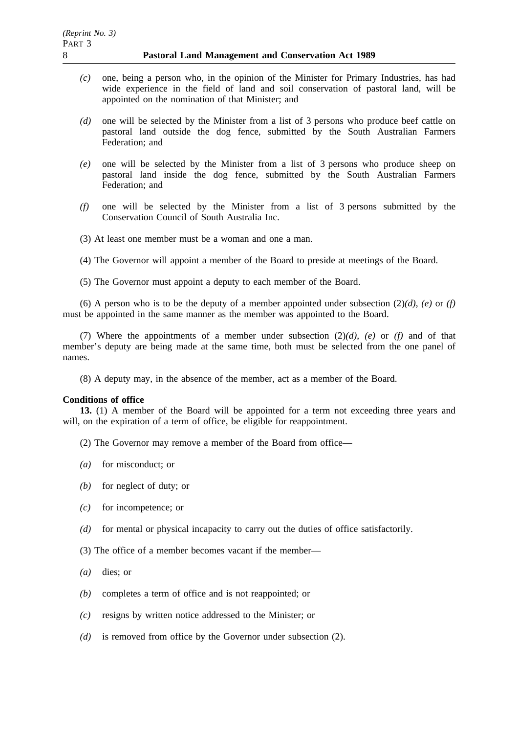- *(c)* one, being a person who, in the opinion of the Minister for Primary Industries, has had wide experience in the field of land and soil conservation of pastoral land, will be appointed on the nomination of that Minister; and
- *(d)* one will be selected by the Minister from a list of 3 persons who produce beef cattle on pastoral land outside the dog fence, submitted by the South Australian Farmers Federation; and
- *(e)* one will be selected by the Minister from a list of 3 persons who produce sheep on pastoral land inside the dog fence, submitted by the South Australian Farmers Federation; and
- *(f)* one will be selected by the Minister from a list of 3 persons submitted by the Conservation Council of South Australia Inc.
- (3) At least one member must be a woman and one a man.
- (4) The Governor will appoint a member of the Board to preside at meetings of the Board.
- (5) The Governor must appoint a deputy to each member of the Board.

(6) A person who is to be the deputy of a member appointed under subsection  $(2)(d)$ ,  $(e)$  or  $(f)$ must be appointed in the same manner as the member was appointed to the Board.

(7) Where the appointments of a member under subsection (2)*(d)*, *(e)* or *(f)* and of that member's deputy are being made at the same time, both must be selected from the one panel of names.

(8) A deputy may, in the absence of the member, act as a member of the Board.

## **Conditions of office**

**13.** (1) A member of the Board will be appointed for a term not exceeding three years and will, on the expiration of a term of office, be eligible for reappointment.

- (2) The Governor may remove a member of the Board from office—
- *(a)* for misconduct; or
- *(b)* for neglect of duty; or
- *(c)* for incompetence; or
- *(d)* for mental or physical incapacity to carry out the duties of office satisfactorily.
- (3) The office of a member becomes vacant if the member—
- *(a)* dies; or
- *(b)* completes a term of office and is not reappointed; or
- *(c)* resigns by written notice addressed to the Minister; or
- *(d)* is removed from office by the Governor under subsection (2).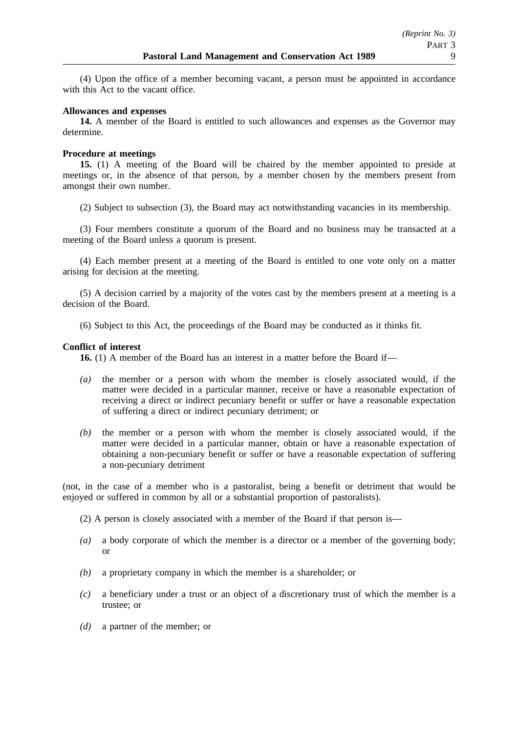(4) Upon the office of a member becoming vacant, a person must be appointed in accordance with this Act to the vacant office.

## **Allowances and expenses**

**14.** A member of the Board is entitled to such allowances and expenses as the Governor may determine.

## **Procedure at meetings**

**15.** (1) A meeting of the Board will be chaired by the member appointed to preside at meetings or, in the absence of that person, by a member chosen by the members present from amongst their own number.

(2) Subject to subsection (3), the Board may act notwithstanding vacancies in its membership.

(3) Four members constitute a quorum of the Board and no business may be transacted at a meeting of the Board unless a quorum is present.

(4) Each member present at a meeting of the Board is entitled to one vote only on a matter arising for decision at the meeting.

(5) A decision carried by a majority of the votes cast by the members present at a meeting is a decision of the Board.

(6) Subject to this Act, the proceedings of the Board may be conducted as it thinks fit.

## **Conflict of interest**

**16.** (1) A member of the Board has an interest in a matter before the Board if—

- *(a)* the member or a person with whom the member is closely associated would, if the matter were decided in a particular manner, receive or have a reasonable expectation of receiving a direct or indirect pecuniary benefit or suffer or have a reasonable expectation of suffering a direct or indirect pecuniary detriment; or
- *(b)* the member or a person with whom the member is closely associated would, if the matter were decided in a particular manner, obtain or have a reasonable expectation of obtaining a non-pecuniary benefit or suffer or have a reasonable expectation of suffering a non-pecuniary detriment

(not, in the case of a member who is a pastoralist, being a benefit or detriment that would be enjoyed or suffered in common by all or a substantial proportion of pastoralists).

(2) A person is closely associated with a member of the Board if that person is—

- *(a)* a body corporate of which the member is a director or a member of the governing body; or
- *(b)* a proprietary company in which the member is a shareholder; or
- *(c)* a beneficiary under a trust or an object of a discretionary trust of which the member is a trustee; or
- *(d)* a partner of the member; or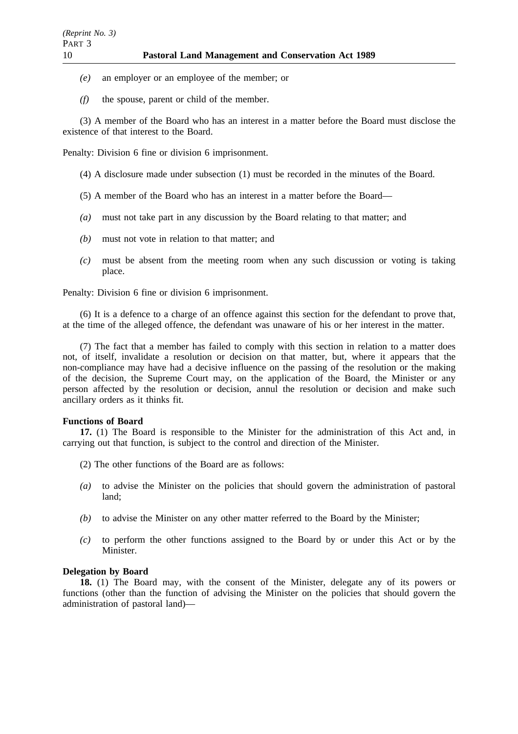- *(e)* an employer or an employee of the member; or
- *(f)* the spouse, parent or child of the member.

(3) A member of the Board who has an interest in a matter before the Board must disclose the existence of that interest to the Board.

Penalty: Division 6 fine or division 6 imprisonment.

- (4) A disclosure made under subsection (1) must be recorded in the minutes of the Board.
- (5) A member of the Board who has an interest in a matter before the Board—
- *(a)* must not take part in any discussion by the Board relating to that matter; and
- *(b)* must not vote in relation to that matter; and
- *(c)* must be absent from the meeting room when any such discussion or voting is taking place.

Penalty: Division 6 fine or division 6 imprisonment.

(6) It is a defence to a charge of an offence against this section for the defendant to prove that, at the time of the alleged offence, the defendant was unaware of his or her interest in the matter.

(7) The fact that a member has failed to comply with this section in relation to a matter does not, of itself, invalidate a resolution or decision on that matter, but, where it appears that the non-compliance may have had a decisive influence on the passing of the resolution or the making of the decision, the Supreme Court may, on the application of the Board, the Minister or any person affected by the resolution or decision, annul the resolution or decision and make such ancillary orders as it thinks fit.

## **Functions of Board**

17. (1) The Board is responsible to the Minister for the administration of this Act and, in carrying out that function, is subject to the control and direction of the Minister.

- (2) The other functions of the Board are as follows:
- *(a)* to advise the Minister on the policies that should govern the administration of pastoral land;
- *(b)* to advise the Minister on any other matter referred to the Board by the Minister;
- *(c)* to perform the other functions assigned to the Board by or under this Act or by the Minister.

## **Delegation by Board**

**18.** (1) The Board may, with the consent of the Minister, delegate any of its powers or functions (other than the function of advising the Minister on the policies that should govern the administration of pastoral land)—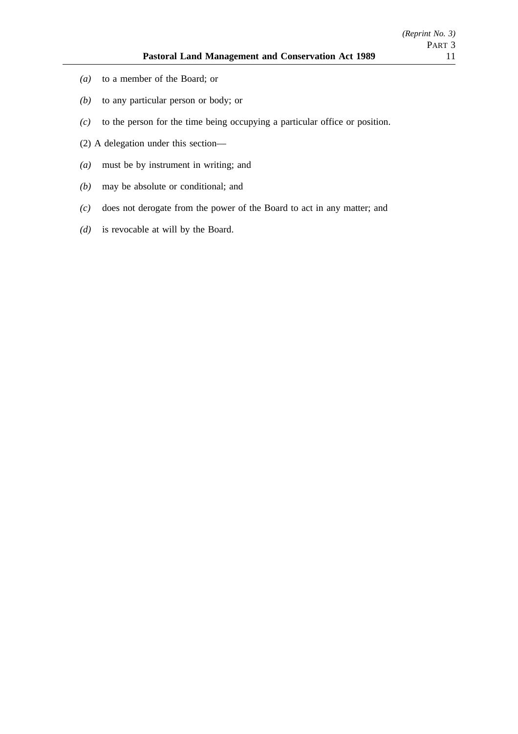- *(a)* to a member of the Board; or
- *(b)* to any particular person or body; or
- *(c)* to the person for the time being occupying a particular office or position.
- (2) A delegation under this section—
- *(a)* must be by instrument in writing; and
- *(b)* may be absolute or conditional; and
- *(c)* does not derogate from the power of the Board to act in any matter; and
- *(d)* is revocable at will by the Board.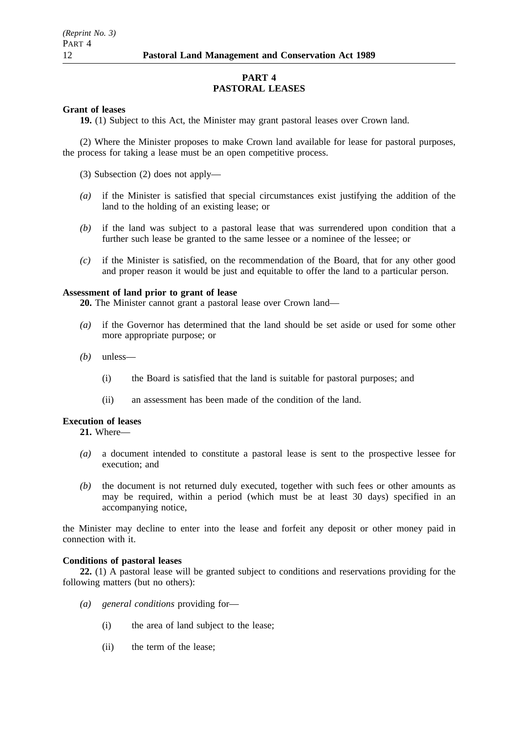## **PART 4 PASTORAL LEASES**

## **Grant of leases**

**19.** (1) Subject to this Act, the Minister may grant pastoral leases over Crown land.

(2) Where the Minister proposes to make Crown land available for lease for pastoral purposes, the process for taking a lease must be an open competitive process.

(3) Subsection (2) does not apply—

- *(a)* if the Minister is satisfied that special circumstances exist justifying the addition of the land to the holding of an existing lease; or
- *(b)* if the land was subject to a pastoral lease that was surrendered upon condition that a further such lease be granted to the same lessee or a nominee of the lessee; or
- *(c)* if the Minister is satisfied, on the recommendation of the Board, that for any other good and proper reason it would be just and equitable to offer the land to a particular person.

## **Assessment of land prior to grant of lease**

**20.** The Minister cannot grant a pastoral lease over Crown land—

- *(a)* if the Governor has determined that the land should be set aside or used for some other more appropriate purpose; or
- *(b)* unless—
	- (i) the Board is satisfied that the land is suitable for pastoral purposes; and
	- (ii) an assessment has been made of the condition of the land.

## **Execution of leases**

**21.** Where—

- *(a)* a document intended to constitute a pastoral lease is sent to the prospective lessee for execution; and
- *(b)* the document is not returned duly executed, together with such fees or other amounts as may be required, within a period (which must be at least 30 days) specified in an accompanying notice,

the Minister may decline to enter into the lease and forfeit any deposit or other money paid in connection with it.

## **Conditions of pastoral leases**

**22.** (1) A pastoral lease will be granted subject to conditions and reservations providing for the following matters (but no others):

- *(a) general conditions* providing for—
	- (i) the area of land subject to the lease;
	- (ii) the term of the lease;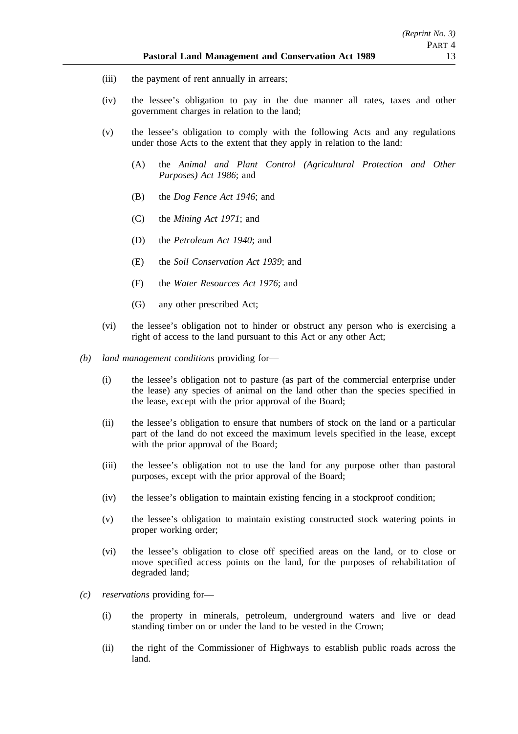- (iii) the payment of rent annually in arrears;
- (iv) the lessee's obligation to pay in the due manner all rates, taxes and other government charges in relation to the land;
- (v) the lessee's obligation to comply with the following Acts and any regulations under those Acts to the extent that they apply in relation to the land:
	- (A) the *Animal and Plant Control (Agricultural Protection and Other Purposes) Act 1986*; and
	- (B) the *Dog Fence Act 1946*; and
	- (C) the *Mining Act 1971*; and
	- (D) the *Petroleum Act 1940*; and
	- (E) the *Soil Conservation Act 1939*; and
	- (F) the *Water Resources Act 1976*; and
	- (G) any other prescribed Act;
- (vi) the lessee's obligation not to hinder or obstruct any person who is exercising a right of access to the land pursuant to this Act or any other Act;
- *(b) land management conditions* providing for—
	- (i) the lessee's obligation not to pasture (as part of the commercial enterprise under the lease) any species of animal on the land other than the species specified in the lease, except with the prior approval of the Board;
	- (ii) the lessee's obligation to ensure that numbers of stock on the land or a particular part of the land do not exceed the maximum levels specified in the lease, except with the prior approval of the Board:
	- (iii) the lessee's obligation not to use the land for any purpose other than pastoral purposes, except with the prior approval of the Board;
	- (iv) the lessee's obligation to maintain existing fencing in a stockproof condition;
	- (v) the lessee's obligation to maintain existing constructed stock watering points in proper working order;
	- (vi) the lessee's obligation to close off specified areas on the land, or to close or move specified access points on the land, for the purposes of rehabilitation of degraded land;
- *(c) reservations* providing for—
	- (i) the property in minerals, petroleum, underground waters and live or dead standing timber on or under the land to be vested in the Crown;
	- (ii) the right of the Commissioner of Highways to establish public roads across the land.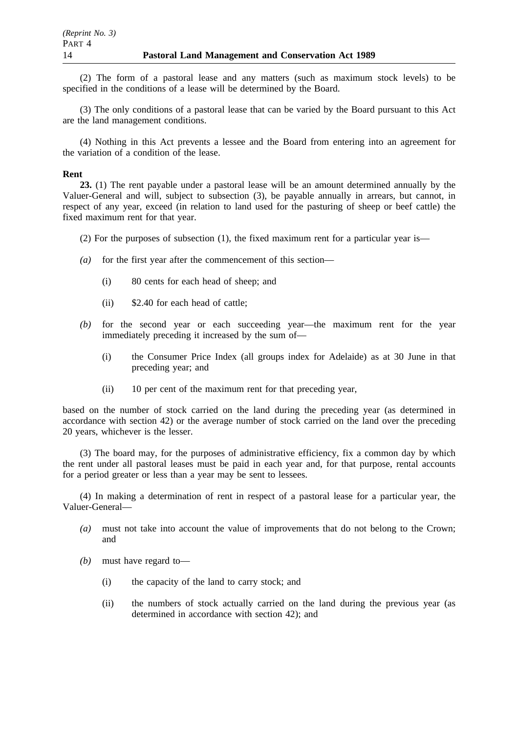(2) The form of a pastoral lease and any matters (such as maximum stock levels) to be specified in the conditions of a lease will be determined by the Board.

(3) The only conditions of a pastoral lease that can be varied by the Board pursuant to this Act are the land management conditions.

(4) Nothing in this Act prevents a lessee and the Board from entering into an agreement for the variation of a condition of the lease.

### **Rent**

**23.** (1) The rent payable under a pastoral lease will be an amount determined annually by the Valuer-General and will, subject to subsection (3), be payable annually in arrears, but cannot, in respect of any year, exceed (in relation to land used for the pasturing of sheep or beef cattle) the fixed maximum rent for that year.

- (2) For the purposes of subsection (1), the fixed maximum rent for a particular year is—
- *(a)* for the first year after the commencement of this section—
	- (i) 80 cents for each head of sheep; and
	- (ii) \$2.40 for each head of cattle;
- *(b)* for the second year or each succeeding year—the maximum rent for the year immediately preceding it increased by the sum of—
	- (i) the Consumer Price Index (all groups index for Adelaide) as at 30 June in that preceding year; and
	- (ii) 10 per cent of the maximum rent for that preceding year,

based on the number of stock carried on the land during the preceding year (as determined in accordance with section 42) or the average number of stock carried on the land over the preceding 20 years, whichever is the lesser.

(3) The board may, for the purposes of administrative efficiency, fix a common day by which the rent under all pastoral leases must be paid in each year and, for that purpose, rental accounts for a period greater or less than a year may be sent to lessees.

(4) In making a determination of rent in respect of a pastoral lease for a particular year, the Valuer-General—

- *(a)* must not take into account the value of improvements that do not belong to the Crown; and
- *(b)* must have regard to—
	- (i) the capacity of the land to carry stock; and
	- (ii) the numbers of stock actually carried on the land during the previous year (as determined in accordance with section 42); and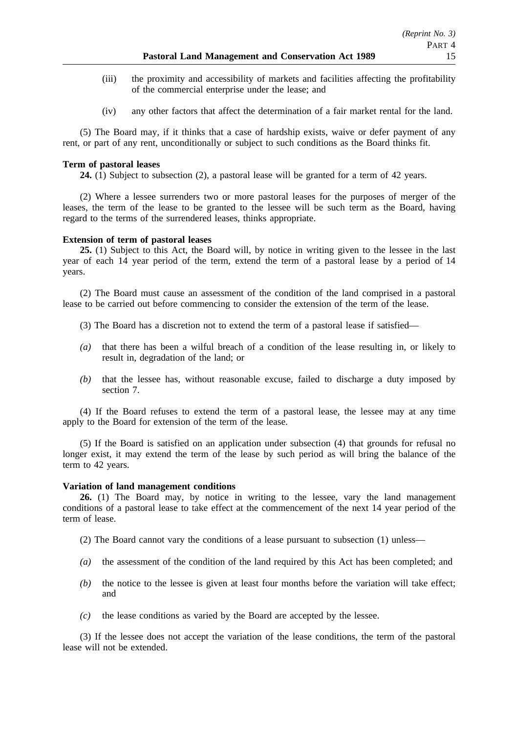- (iii) the proximity and accessibility of markets and facilities affecting the profitability of the commercial enterprise under the lease; and
- (iv) any other factors that affect the determination of a fair market rental for the land.

(5) The Board may, if it thinks that a case of hardship exists, waive or defer payment of any rent, or part of any rent, unconditionally or subject to such conditions as the Board thinks fit.

## **Term of pastoral leases**

**24.** (1) Subject to subsection (2), a pastoral lease will be granted for a term of 42 years.

(2) Where a lessee surrenders two or more pastoral leases for the purposes of merger of the leases, the term of the lease to be granted to the lessee will be such term as the Board, having regard to the terms of the surrendered leases, thinks appropriate.

## **Extension of term of pastoral leases**

**25.** (1) Subject to this Act, the Board will, by notice in writing given to the lessee in the last year of each 14 year period of the term, extend the term of a pastoral lease by a period of 14 years.

(2) The Board must cause an assessment of the condition of the land comprised in a pastoral lease to be carried out before commencing to consider the extension of the term of the lease.

- (3) The Board has a discretion not to extend the term of a pastoral lease if satisfied—
- *(a)* that there has been a wilful breach of a condition of the lease resulting in, or likely to result in, degradation of the land; or
- *(b)* that the lessee has, without reasonable excuse, failed to discharge a duty imposed by section 7.

(4) If the Board refuses to extend the term of a pastoral lease, the lessee may at any time apply to the Board for extension of the term of the lease.

(5) If the Board is satisfied on an application under subsection (4) that grounds for refusal no longer exist, it may extend the term of the lease by such period as will bring the balance of the term to 42 years.

## **Variation of land management conditions**

**26.** (1) The Board may, by notice in writing to the lessee, vary the land management conditions of a pastoral lease to take effect at the commencement of the next 14 year period of the term of lease.

(2) The Board cannot vary the conditions of a lease pursuant to subsection (1) unless—

- *(a)* the assessment of the condition of the land required by this Act has been completed; and
- *(b)* the notice to the lessee is given at least four months before the variation will take effect; and
- *(c)* the lease conditions as varied by the Board are accepted by the lessee.

(3) If the lessee does not accept the variation of the lease conditions, the term of the pastoral lease will not be extended.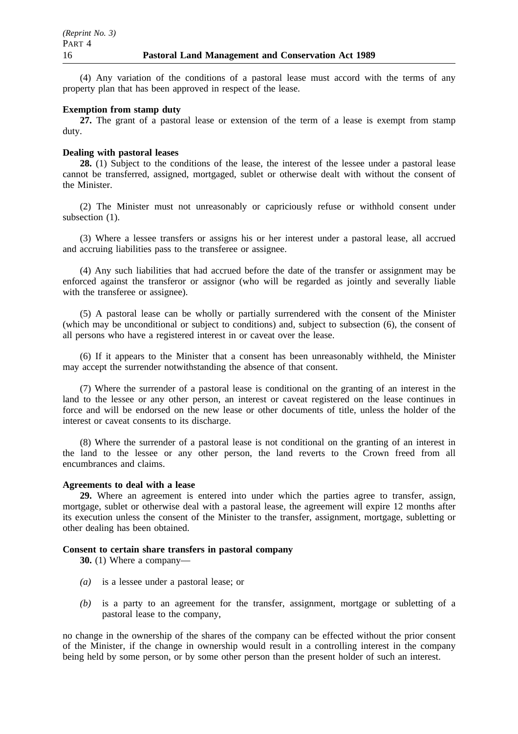(4) Any variation of the conditions of a pastoral lease must accord with the terms of any property plan that has been approved in respect of the lease.

### **Exemption from stamp duty**

**27.** The grant of a pastoral lease or extension of the term of a lease is exempt from stamp duty.

### **Dealing with pastoral leases**

**28.** (1) Subject to the conditions of the lease, the interest of the lessee under a pastoral lease cannot be transferred, assigned, mortgaged, sublet or otherwise dealt with without the consent of the Minister.

(2) The Minister must not unreasonably or capriciously refuse or withhold consent under subsection  $(1)$ .

(3) Where a lessee transfers or assigns his or her interest under a pastoral lease, all accrued and accruing liabilities pass to the transferee or assignee.

(4) Any such liabilities that had accrued before the date of the transfer or assignment may be enforced against the transferor or assignor (who will be regarded as jointly and severally liable with the transferee or assignee).

(5) A pastoral lease can be wholly or partially surrendered with the consent of the Minister (which may be unconditional or subject to conditions) and, subject to subsection (6), the consent of all persons who have a registered interest in or caveat over the lease.

(6) If it appears to the Minister that a consent has been unreasonably withheld, the Minister may accept the surrender notwithstanding the absence of that consent.

(7) Where the surrender of a pastoral lease is conditional on the granting of an interest in the land to the lessee or any other person, an interest or caveat registered on the lease continues in force and will be endorsed on the new lease or other documents of title, unless the holder of the interest or caveat consents to its discharge.

(8) Where the surrender of a pastoral lease is not conditional on the granting of an interest in the land to the lessee or any other person, the land reverts to the Crown freed from all encumbrances and claims.

## **Agreements to deal with a lease**

**29.** Where an agreement is entered into under which the parties agree to transfer, assign, mortgage, sublet or otherwise deal with a pastoral lease, the agreement will expire 12 months after its execution unless the consent of the Minister to the transfer, assignment, mortgage, subletting or other dealing has been obtained.

## **Consent to certain share transfers in pastoral company**

**30.** (1) Where a company—

- *(a)* is a lessee under a pastoral lease; or
- *(b)* is a party to an agreement for the transfer, assignment, mortgage or subletting of a pastoral lease to the company,

no change in the ownership of the shares of the company can be effected without the prior consent of the Minister, if the change in ownership would result in a controlling interest in the company being held by some person, or by some other person than the present holder of such an interest.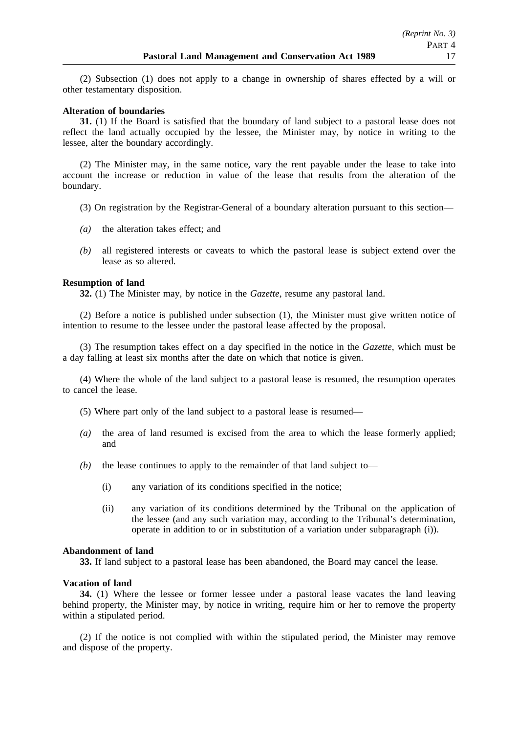(2) Subsection (1) does not apply to a change in ownership of shares effected by a will or other testamentary disposition.

## **Alteration of boundaries**

**31.** (1) If the Board is satisfied that the boundary of land subject to a pastoral lease does not reflect the land actually occupied by the lessee, the Minister may, by notice in writing to the lessee, alter the boundary accordingly.

(2) The Minister may, in the same notice, vary the rent payable under the lease to take into account the increase or reduction in value of the lease that results from the alteration of the boundary.

- (3) On registration by the Registrar-General of a boundary alteration pursuant to this section—
- *(a)* the alteration takes effect; and
- *(b)* all registered interests or caveats to which the pastoral lease is subject extend over the lease as so altered.

### **Resumption of land**

**32.** (1) The Minister may, by notice in the *Gazette*, resume any pastoral land.

(2) Before a notice is published under subsection (1), the Minister must give written notice of intention to resume to the lessee under the pastoral lease affected by the proposal.

(3) The resumption takes effect on a day specified in the notice in the *Gazette*, which must be a day falling at least six months after the date on which that notice is given.

(4) Where the whole of the land subject to a pastoral lease is resumed, the resumption operates to cancel the lease.

- (5) Where part only of the land subject to a pastoral lease is resumed—
- *(a)* the area of land resumed is excised from the area to which the lease formerly applied; and
- *(b)* the lease continues to apply to the remainder of that land subject to—
	- (i) any variation of its conditions specified in the notice;
	- (ii) any variation of its conditions determined by the Tribunal on the application of the lessee (and any such variation may, according to the Tribunal's determination, operate in addition to or in substitution of a variation under subparagraph (i)).

#### **Abandonment of land**

**33.** If land subject to a pastoral lease has been abandoned, the Board may cancel the lease.

#### **Vacation of land**

**34.** (1) Where the lessee or former lessee under a pastoral lease vacates the land leaving behind property, the Minister may, by notice in writing, require him or her to remove the property within a stipulated period.

(2) If the notice is not complied with within the stipulated period, the Minister may remove and dispose of the property.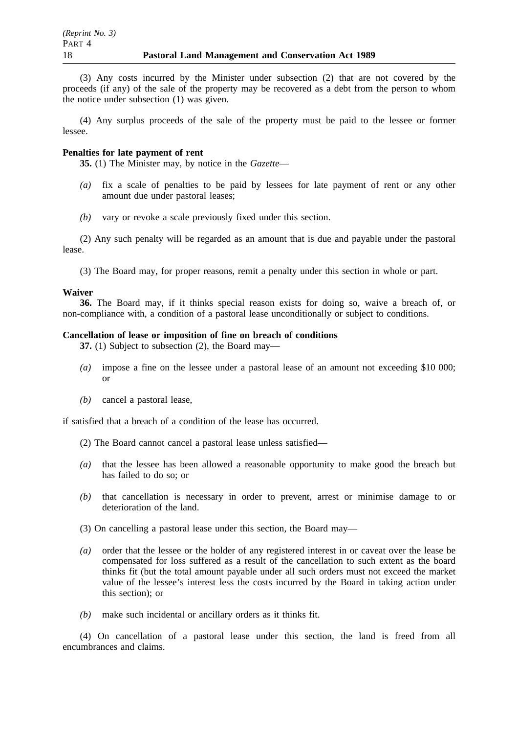(3) Any costs incurred by the Minister under subsection (2) that are not covered by the proceeds (if any) of the sale of the property may be recovered as a debt from the person to whom the notice under subsection (1) was given.

(4) Any surplus proceeds of the sale of the property must be paid to the lessee or former lessee.

### **Penalties for late payment of rent**

**35.** (1) The Minister may, by notice in the *Gazette*—

- *(a)* fix a scale of penalties to be paid by lessees for late payment of rent or any other amount due under pastoral leases;
- *(b)* vary or revoke a scale previously fixed under this section.

(2) Any such penalty will be regarded as an amount that is due and payable under the pastoral lease.

(3) The Board may, for proper reasons, remit a penalty under this section in whole or part.

#### **Waiver**

**36.** The Board may, if it thinks special reason exists for doing so, waive a breach of, or non-compliance with, a condition of a pastoral lease unconditionally or subject to conditions.

#### **Cancellation of lease or imposition of fine on breach of conditions**

**37.** (1) Subject to subsection (2), the Board may—

- *(a)* impose a fine on the lessee under a pastoral lease of an amount not exceeding \$10 000; or
- *(b)* cancel a pastoral lease,

if satisfied that a breach of a condition of the lease has occurred.

- (2) The Board cannot cancel a pastoral lease unless satisfied—
- *(a)* that the lessee has been allowed a reasonable opportunity to make good the breach but has failed to do so; or
- *(b)* that cancellation is necessary in order to prevent, arrest or minimise damage to or deterioration of the land.
- (3) On cancelling a pastoral lease under this section, the Board may—
- *(a)* order that the lessee or the holder of any registered interest in or caveat over the lease be compensated for loss suffered as a result of the cancellation to such extent as the board thinks fit (but the total amount payable under all such orders must not exceed the market value of the lessee's interest less the costs incurred by the Board in taking action under this section); or
- *(b)* make such incidental or ancillary orders as it thinks fit.

(4) On cancellation of a pastoral lease under this section, the land is freed from all encumbrances and claims.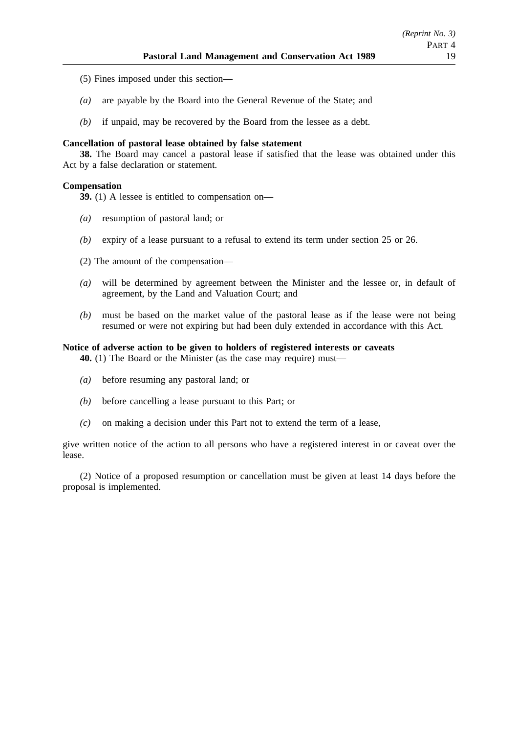- (5) Fines imposed under this section—
- *(a)* are payable by the Board into the General Revenue of the State; and
- *(b)* if unpaid, may be recovered by the Board from the lessee as a debt.

## **Cancellation of pastoral lease obtained by false statement**

**38.** The Board may cancel a pastoral lease if satisfied that the lease was obtained under this Act by a false declaration or statement.

## **Compensation**

**39.** (1) A lessee is entitled to compensation on—

- *(a)* resumption of pastoral land; or
- *(b)* expiry of a lease pursuant to a refusal to extend its term under section 25 or 26.
- (2) The amount of the compensation—
- *(a)* will be determined by agreement between the Minister and the lessee or, in default of agreement, by the Land and Valuation Court; and
- *(b)* must be based on the market value of the pastoral lease as if the lease were not being resumed or were not expiring but had been duly extended in accordance with this Act.

## **Notice of adverse action to be given to holders of registered interests or caveats**

**40.** (1) The Board or the Minister (as the case may require) must—

- *(a)* before resuming any pastoral land; or
- *(b)* before cancelling a lease pursuant to this Part; or
- *(c)* on making a decision under this Part not to extend the term of a lease,

give written notice of the action to all persons who have a registered interest in or caveat over the lease.

(2) Notice of a proposed resumption or cancellation must be given at least 14 days before the proposal is implemented.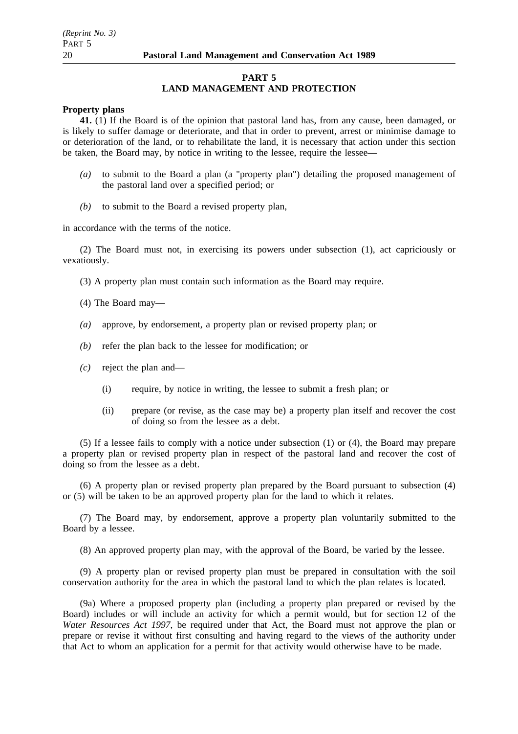### **PART 5 LAND MANAGEMENT AND PROTECTION**

### **Property plans**

**41.** (1) If the Board is of the opinion that pastoral land has, from any cause, been damaged, or is likely to suffer damage or deteriorate, and that in order to prevent, arrest or minimise damage to or deterioration of the land, or to rehabilitate the land, it is necessary that action under this section be taken, the Board may, by notice in writing to the lessee, require the lessee—

- *(a)* to submit to the Board a plan (a "property plan") detailing the proposed management of the pastoral land over a specified period; or
- *(b)* to submit to the Board a revised property plan,

in accordance with the terms of the notice.

(2) The Board must not, in exercising its powers under subsection (1), act capriciously or vexatiously.

(3) A property plan must contain such information as the Board may require.

(4) The Board may—

- *(a)* approve, by endorsement, a property plan or revised property plan; or
- *(b)* refer the plan back to the lessee for modification; or
- *(c)* reject the plan and—
	- (i) require, by notice in writing, the lessee to submit a fresh plan; or
	- (ii) prepare (or revise, as the case may be) a property plan itself and recover the cost of doing so from the lessee as a debt.

(5) If a lessee fails to comply with a notice under subsection (1) or (4), the Board may prepare a property plan or revised property plan in respect of the pastoral land and recover the cost of doing so from the lessee as a debt.

(6) A property plan or revised property plan prepared by the Board pursuant to subsection (4) or (5) will be taken to be an approved property plan for the land to which it relates.

(7) The Board may, by endorsement, approve a property plan voluntarily submitted to the Board by a lessee.

(8) An approved property plan may, with the approval of the Board, be varied by the lessee.

(9) A property plan or revised property plan must be prepared in consultation with the soil conservation authority for the area in which the pastoral land to which the plan relates is located.

(9a) Where a proposed property plan (including a property plan prepared or revised by the Board) includes or will include an activity for which a permit would, but for section 12 of the *Water Resources Act 1997*, be required under that Act, the Board must not approve the plan or prepare or revise it without first consulting and having regard to the views of the authority under that Act to whom an application for a permit for that activity would otherwise have to be made.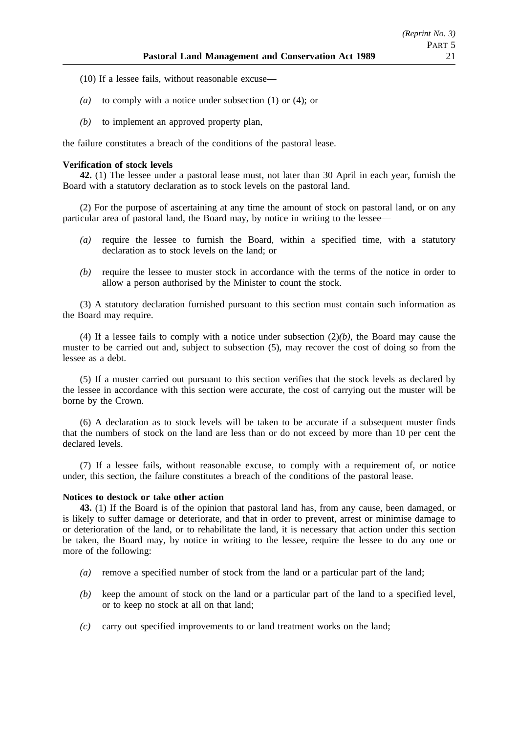- (10) If a lessee fails, without reasonable excuse—
- *(a)* to comply with a notice under subsection (1) or (4); or
- *(b)* to implement an approved property plan,

the failure constitutes a breach of the conditions of the pastoral lease.

## **Verification of stock levels**

**42.** (1) The lessee under a pastoral lease must, not later than 30 April in each year, furnish the Board with a statutory declaration as to stock levels on the pastoral land.

(2) For the purpose of ascertaining at any time the amount of stock on pastoral land, or on any particular area of pastoral land, the Board may, by notice in writing to the lessee—

- *(a)* require the lessee to furnish the Board, within a specified time, with a statutory declaration as to stock levels on the land; or
- *(b)* require the lessee to muster stock in accordance with the terms of the notice in order to allow a person authorised by the Minister to count the stock.

(3) A statutory declaration furnished pursuant to this section must contain such information as the Board may require.

(4) If a lessee fails to comply with a notice under subsection (2)*(b)*, the Board may cause the muster to be carried out and, subject to subsection (5), may recover the cost of doing so from the lessee as a debt.

(5) If a muster carried out pursuant to this section verifies that the stock levels as declared by the lessee in accordance with this section were accurate, the cost of carrying out the muster will be borne by the Crown.

(6) A declaration as to stock levels will be taken to be accurate if a subsequent muster finds that the numbers of stock on the land are less than or do not exceed by more than 10 per cent the declared levels.

(7) If a lessee fails, without reasonable excuse, to comply with a requirement of, or notice under, this section, the failure constitutes a breach of the conditions of the pastoral lease.

## **Notices to destock or take other action**

**43.** (1) If the Board is of the opinion that pastoral land has, from any cause, been damaged, or is likely to suffer damage or deteriorate, and that in order to prevent, arrest or minimise damage to or deterioration of the land, or to rehabilitate the land, it is necessary that action under this section be taken, the Board may, by notice in writing to the lessee, require the lessee to do any one or more of the following:

- *(a)* remove a specified number of stock from the land or a particular part of the land;
- *(b)* keep the amount of stock on the land or a particular part of the land to a specified level, or to keep no stock at all on that land;
- *(c)* carry out specified improvements to or land treatment works on the land;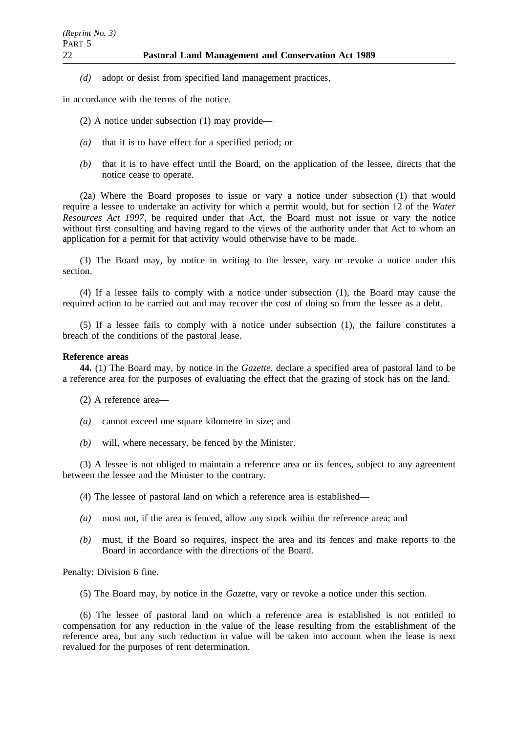*(d)* adopt or desist from specified land management practices,

in accordance with the terms of the notice.

- (2) A notice under subsection (1) may provide—
- *(a)* that it is to have effect for a specified period; or
- *(b)* that it is to have effect until the Board, on the application of the lessee, directs that the notice cease to operate.

(2a) Where the Board proposes to issue or vary a notice under subsection (1) that would require a lessee to undertake an activity for which a permit would, but for section 12 of the *Water Resources Act 1997*, be required under that Act, the Board must not issue or vary the notice without first consulting and having regard to the views of the authority under that Act to whom an application for a permit for that activity would otherwise have to be made.

(3) The Board may, by notice in writing to the lessee, vary or revoke a notice under this section.

(4) If a lessee fails to comply with a notice under subsection (1), the Board may cause the required action to be carried out and may recover the cost of doing so from the lessee as a debt.

(5) If a lessee fails to comply with a notice under subsection (1), the failure constitutes a breach of the conditions of the pastoral lease.

#### **Reference areas**

**44.** (1) The Board may, by notice in the *Gazette*, declare a specified area of pastoral land to be a reference area for the purposes of evaluating the effect that the grazing of stock has on the land.

(2) A reference area—

- *(a)* cannot exceed one square kilometre in size; and
- *(b)* will, where necessary, be fenced by the Minister.

(3) A lessee is not obliged to maintain a reference area or its fences, subject to any agreement between the lessee and the Minister to the contrary.

(4) The lessee of pastoral land on which a reference area is established—

- *(a)* must not, if the area is fenced, allow any stock within the reference area; and
- *(b)* must, if the Board so requires, inspect the area and its fences and make reports to the Board in accordance with the directions of the Board.

Penalty: Division 6 fine.

(5) The Board may, by notice in the *Gazette*, vary or revoke a notice under this section.

(6) The lessee of pastoral land on which a reference area is established is not entitled to compensation for any reduction in the value of the lease resulting from the establishment of the reference area, but any such reduction in value will be taken into account when the lease is next revalued for the purposes of rent determination.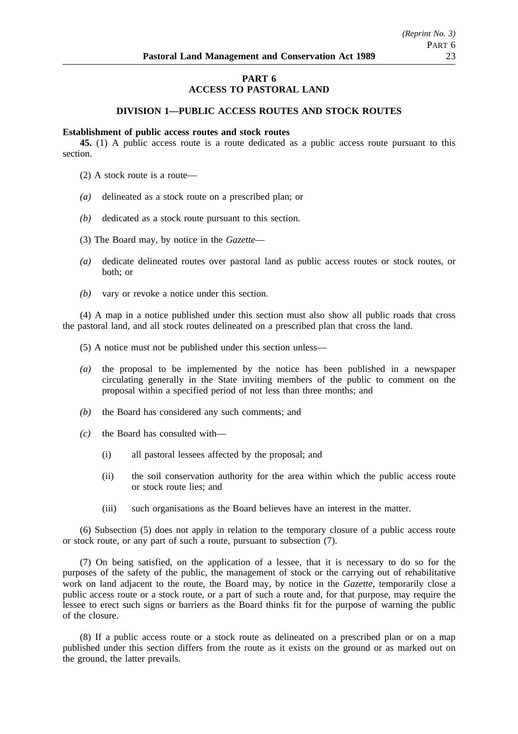## **PART 6 ACCESS TO PASTORAL LAND**

## **DIVISION 1—PUBLIC ACCESS ROUTES AND STOCK ROUTES**

#### **Establishment of public access routes and stock routes**

**45.** (1) A public access route is a route dedicated as a public access route pursuant to this section.

- (2) A stock route is a route—
- *(a)* delineated as a stock route on a prescribed plan; or
- *(b)* dedicated as a stock route pursuant to this section.
- (3) The Board may, by notice in the *Gazette*—
- *(a)* dedicate delineated routes over pastoral land as public access routes or stock routes, or both; or
- *(b)* vary or revoke a notice under this section.

(4) A map in a notice published under this section must also show all public roads that cross the pastoral land, and all stock routes delineated on a prescribed plan that cross the land.

- (5) A notice must not be published under this section unless—
- *(a)* the proposal to be implemented by the notice has been published in a newspaper circulating generally in the State inviting members of the public to comment on the proposal within a specified period of not less than three months; and
- *(b)* the Board has considered any such comments; and
- *(c)* the Board has consulted with—
	- (i) all pastoral lessees affected by the proposal; and
	- (ii) the soil conservation authority for the area within which the public access route or stock route lies; and
	- (iii) such organisations as the Board believes have an interest in the matter.

(6) Subsection (5) does not apply in relation to the temporary closure of a public access route or stock route, or any part of such a route, pursuant to subsection (7).

(7) On being satisfied, on the application of a lessee, that it is necessary to do so for the purposes of the safety of the public, the management of stock or the carrying out of rehabilitative work on land adjacent to the route, the Board may, by notice in the *Gazette*, temporarily close a public access route or a stock route, or a part of such a route and, for that purpose, may require the lessee to erect such signs or barriers as the Board thinks fit for the purpose of warning the public of the closure.

(8) If a public access route or a stock route as delineated on a prescribed plan or on a map published under this section differs from the route as it exists on the ground or as marked out on the ground, the latter prevails.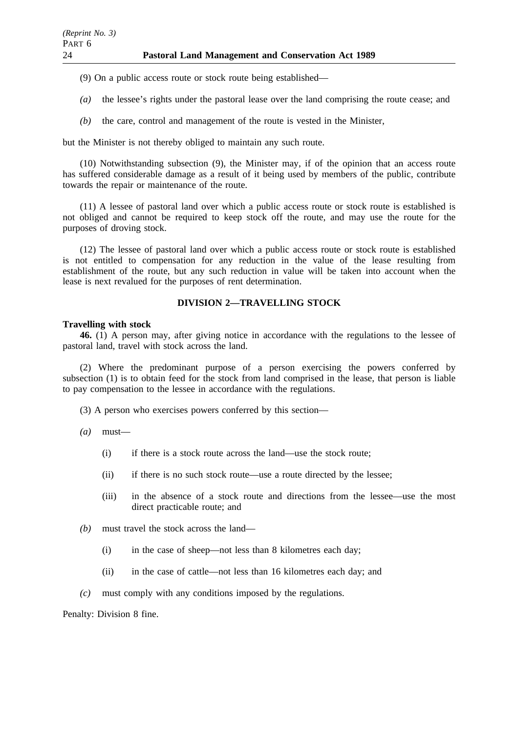(9) On a public access route or stock route being established—

- *(a)* the lessee's rights under the pastoral lease over the land comprising the route cease; and
- *(b)* the care, control and management of the route is vested in the Minister,

but the Minister is not thereby obliged to maintain any such route.

(10) Notwithstanding subsection (9), the Minister may, if of the opinion that an access route has suffered considerable damage as a result of it being used by members of the public, contribute towards the repair or maintenance of the route.

(11) A lessee of pastoral land over which a public access route or stock route is established is not obliged and cannot be required to keep stock off the route, and may use the route for the purposes of droving stock.

(12) The lessee of pastoral land over which a public access route or stock route is established is not entitled to compensation for any reduction in the value of the lease resulting from establishment of the route, but any such reduction in value will be taken into account when the lease is next revalued for the purposes of rent determination.

## **DIVISION 2—TRAVELLING STOCK**

## **Travelling with stock**

**46.** (1) A person may, after giving notice in accordance with the regulations to the lessee of pastoral land, travel with stock across the land.

(2) Where the predominant purpose of a person exercising the powers conferred by subsection (1) is to obtain feed for the stock from land comprised in the lease, that person is liable to pay compensation to the lessee in accordance with the regulations.

(3) A person who exercises powers conferred by this section—

- *(a)* must—
	- (i) if there is a stock route across the land—use the stock route;
	- (ii) if there is no such stock route—use a route directed by the lessee;
	- (iii) in the absence of a stock route and directions from the lessee—use the most direct practicable route; and
- *(b)* must travel the stock across the land—
	- (i) in the case of sheep—not less than 8 kilometres each day;
	- (ii) in the case of cattle—not less than 16 kilometres each day; and
- *(c)* must comply with any conditions imposed by the regulations.

Penalty: Division 8 fine.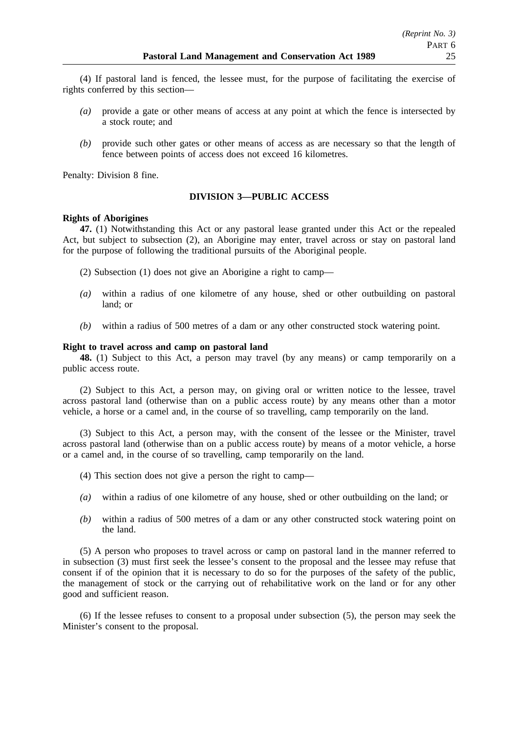(4) If pastoral land is fenced, the lessee must, for the purpose of facilitating the exercise of rights conferred by this section—

- *(a)* provide a gate or other means of access at any point at which the fence is intersected by a stock route; and
- *(b)* provide such other gates or other means of access as are necessary so that the length of fence between points of access does not exceed 16 kilometres.

Penalty: Division 8 fine.

## **DIVISION 3—PUBLIC ACCESS**

## **Rights of Aborigines**

**47.** (1) Notwithstanding this Act or any pastoral lease granted under this Act or the repealed Act, but subject to subsection (2), an Aborigine may enter, travel across or stay on pastoral land for the purpose of following the traditional pursuits of the Aboriginal people.

(2) Subsection (1) does not give an Aborigine a right to camp—

- *(a)* within a radius of one kilometre of any house, shed or other outbuilding on pastoral land; or
- *(b)* within a radius of 500 metres of a dam or any other constructed stock watering point.

## **Right to travel across and camp on pastoral land**

**48.** (1) Subject to this Act, a person may travel (by any means) or camp temporarily on a public access route.

(2) Subject to this Act, a person may, on giving oral or written notice to the lessee, travel across pastoral land (otherwise than on a public access route) by any means other than a motor vehicle, a horse or a camel and, in the course of so travelling, camp temporarily on the land.

(3) Subject to this Act, a person may, with the consent of the lessee or the Minister, travel across pastoral land (otherwise than on a public access route) by means of a motor vehicle, a horse or a camel and, in the course of so travelling, camp temporarily on the land.

- (4) This section does not give a person the right to camp—
- *(a)* within a radius of one kilometre of any house, shed or other outbuilding on the land; or
- *(b)* within a radius of 500 metres of a dam or any other constructed stock watering point on the land.

(5) A person who proposes to travel across or camp on pastoral land in the manner referred to in subsection (3) must first seek the lessee's consent to the proposal and the lessee may refuse that consent if of the opinion that it is necessary to do so for the purposes of the safety of the public, the management of stock or the carrying out of rehabilitative work on the land or for any other good and sufficient reason.

(6) If the lessee refuses to consent to a proposal under subsection (5), the person may seek the Minister's consent to the proposal.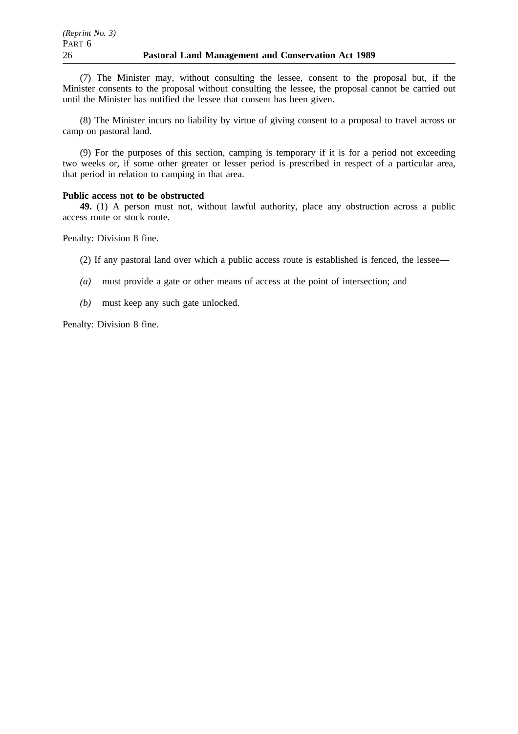(7) The Minister may, without consulting the lessee, consent to the proposal but, if the Minister consents to the proposal without consulting the lessee, the proposal cannot be carried out until the Minister has notified the lessee that consent has been given.

(8) The Minister incurs no liability by virtue of giving consent to a proposal to travel across or camp on pastoral land.

(9) For the purposes of this section, camping is temporary if it is for a period not exceeding two weeks or, if some other greater or lesser period is prescribed in respect of a particular area, that period in relation to camping in that area.

## **Public access not to be obstructed**

**49.** (1) A person must not, without lawful authority, place any obstruction across a public access route or stock route.

Penalty: Division 8 fine.

(2) If any pastoral land over which a public access route is established is fenced, the lessee—

- *(a)* must provide a gate or other means of access at the point of intersection; and
- *(b)* must keep any such gate unlocked.

Penalty: Division 8 fine.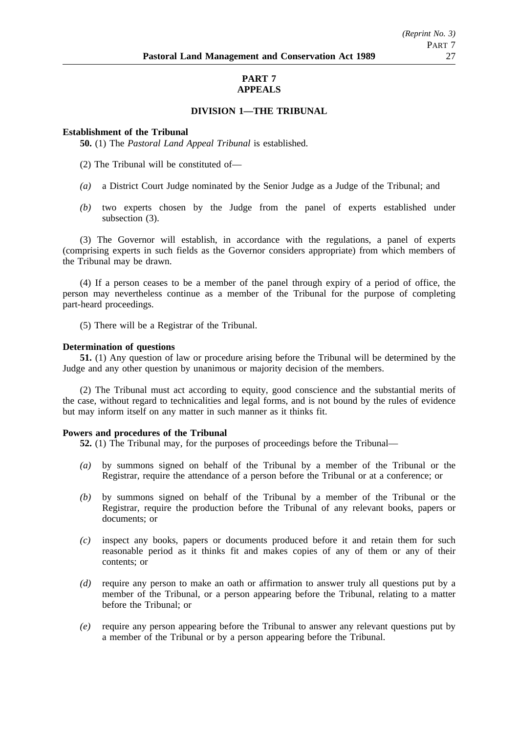## **PART 7 APPEALS**

## **DIVISION 1—THE TRIBUNAL**

## **Establishment of the Tribunal**

**50.** (1) The *Pastoral Land Appeal Tribunal* is established.

- (2) The Tribunal will be constituted of—
- *(a)* a District Court Judge nominated by the Senior Judge as a Judge of the Tribunal; and
- *(b)* two experts chosen by the Judge from the panel of experts established under subsection (3).

(3) The Governor will establish, in accordance with the regulations, a panel of experts (comprising experts in such fields as the Governor considers appropriate) from which members of the Tribunal may be drawn.

(4) If a person ceases to be a member of the panel through expiry of a period of office, the person may nevertheless continue as a member of the Tribunal for the purpose of completing part-heard proceedings.

(5) There will be a Registrar of the Tribunal.

## **Determination of questions**

**51.** (1) Any question of law or procedure arising before the Tribunal will be determined by the Judge and any other question by unanimous or majority decision of the members.

(2) The Tribunal must act according to equity, good conscience and the substantial merits of the case, without regard to technicalities and legal forms, and is not bound by the rules of evidence but may inform itself on any matter in such manner as it thinks fit.

## **Powers and procedures of the Tribunal**

**52.** (1) The Tribunal may, for the purposes of proceedings before the Tribunal—

- *(a)* by summons signed on behalf of the Tribunal by a member of the Tribunal or the Registrar, require the attendance of a person before the Tribunal or at a conference; or
- *(b)* by summons signed on behalf of the Tribunal by a member of the Tribunal or the Registrar, require the production before the Tribunal of any relevant books, papers or documents; or
- *(c)* inspect any books, papers or documents produced before it and retain them for such reasonable period as it thinks fit and makes copies of any of them or any of their contents; or
- *(d)* require any person to make an oath or affirmation to answer truly all questions put by a member of the Tribunal, or a person appearing before the Tribunal, relating to a matter before the Tribunal; or
- *(e)* require any person appearing before the Tribunal to answer any relevant questions put by a member of the Tribunal or by a person appearing before the Tribunal.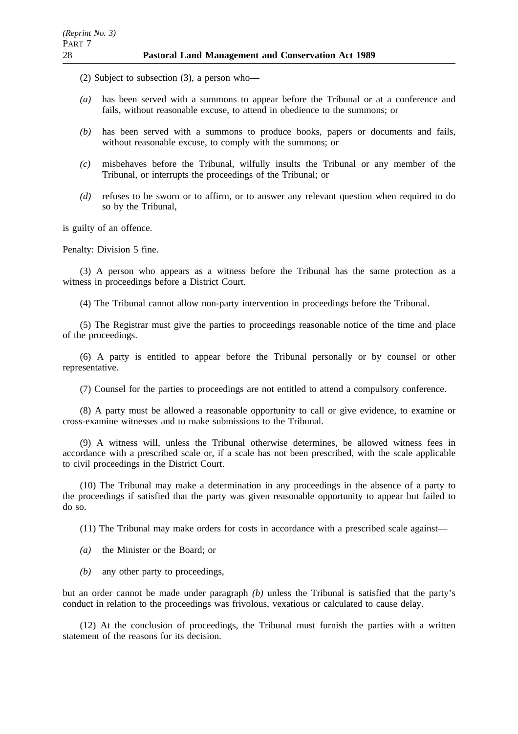(2) Subject to subsection (3), a person who—

- *(a)* has been served with a summons to appear before the Tribunal or at a conference and fails, without reasonable excuse, to attend in obedience to the summons; or
- *(b)* has been served with a summons to produce books, papers or documents and fails, without reasonable excuse, to comply with the summons; or
- *(c)* misbehaves before the Tribunal, wilfully insults the Tribunal or any member of the Tribunal, or interrupts the proceedings of the Tribunal; or
- *(d)* refuses to be sworn or to affirm, or to answer any relevant question when required to do so by the Tribunal,

is guilty of an offence.

Penalty: Division 5 fine.

(3) A person who appears as a witness before the Tribunal has the same protection as a witness in proceedings before a District Court.

(4) The Tribunal cannot allow non-party intervention in proceedings before the Tribunal.

(5) The Registrar must give the parties to proceedings reasonable notice of the time and place of the proceedings.

(6) A party is entitled to appear before the Tribunal personally or by counsel or other representative.

(7) Counsel for the parties to proceedings are not entitled to attend a compulsory conference.

(8) A party must be allowed a reasonable opportunity to call or give evidence, to examine or cross-examine witnesses and to make submissions to the Tribunal.

(9) A witness will, unless the Tribunal otherwise determines, be allowed witness fees in accordance with a prescribed scale or, if a scale has not been prescribed, with the scale applicable to civil proceedings in the District Court.

(10) The Tribunal may make a determination in any proceedings in the absence of a party to the proceedings if satisfied that the party was given reasonable opportunity to appear but failed to do so.

(11) The Tribunal may make orders for costs in accordance with a prescribed scale against—

- *(a)* the Minister or the Board; or
- *(b)* any other party to proceedings,

but an order cannot be made under paragraph *(b)* unless the Tribunal is satisfied that the party's conduct in relation to the proceedings was frivolous, vexatious or calculated to cause delay.

(12) At the conclusion of proceedings, the Tribunal must furnish the parties with a written statement of the reasons for its decision.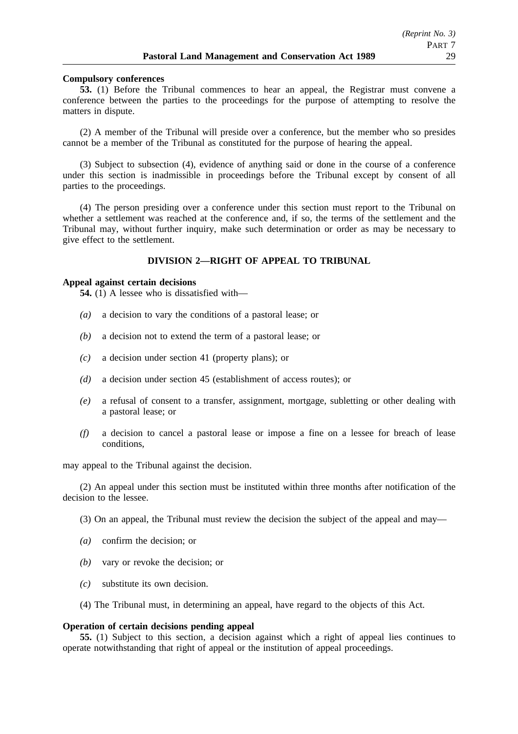### **Compulsory conferences**

**53.** (1) Before the Tribunal commences to hear an appeal, the Registrar must convene a conference between the parties to the proceedings for the purpose of attempting to resolve the matters in dispute.

(2) A member of the Tribunal will preside over a conference, but the member who so presides cannot be a member of the Tribunal as constituted for the purpose of hearing the appeal.

(3) Subject to subsection (4), evidence of anything said or done in the course of a conference under this section is inadmissible in proceedings before the Tribunal except by consent of all parties to the proceedings.

(4) The person presiding over a conference under this section must report to the Tribunal on whether a settlement was reached at the conference and, if so, the terms of the settlement and the Tribunal may, without further inquiry, make such determination or order as may be necessary to give effect to the settlement.

## **DIVISION 2—RIGHT OF APPEAL TO TRIBUNAL**

### **Appeal against certain decisions**

**54.** (1) A lessee who is dissatisfied with—

- *(a)* a decision to vary the conditions of a pastoral lease; or
- *(b)* a decision not to extend the term of a pastoral lease; or
- *(c)* a decision under section 41 (property plans); or
- *(d)* a decision under section 45 (establishment of access routes); or
- *(e)* a refusal of consent to a transfer, assignment, mortgage, subletting or other dealing with a pastoral lease; or
- *(f)* a decision to cancel a pastoral lease or impose a fine on a lessee for breach of lease conditions,

may appeal to the Tribunal against the decision.

(2) An appeal under this section must be instituted within three months after notification of the decision to the lessee.

(3) On an appeal, the Tribunal must review the decision the subject of the appeal and may—

- *(a)* confirm the decision; or
- *(b)* vary or revoke the decision; or
- *(c)* substitute its own decision.
- (4) The Tribunal must, in determining an appeal, have regard to the objects of this Act.

#### **Operation of certain decisions pending appeal**

**55.** (1) Subject to this section, a decision against which a right of appeal lies continues to operate notwithstanding that right of appeal or the institution of appeal proceedings.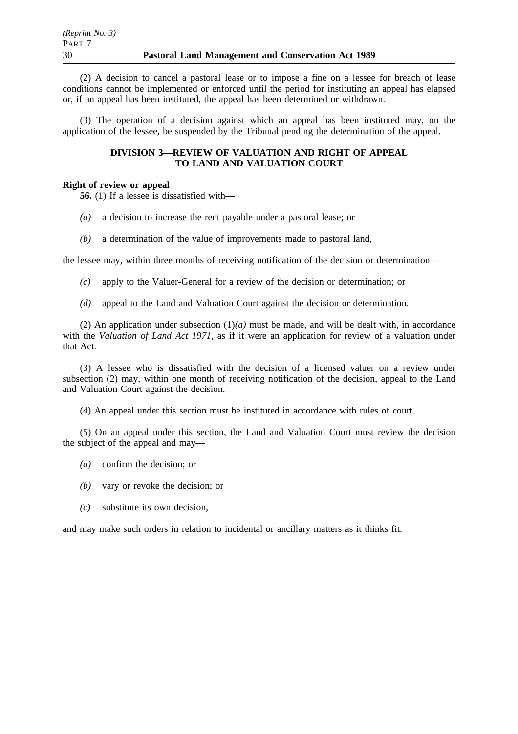(2) A decision to cancel a pastoral lease or to impose a fine on a lessee for breach of lease conditions cannot be implemented or enforced until the period for instituting an appeal has elapsed or, if an appeal has been instituted, the appeal has been determined or withdrawn.

(3) The operation of a decision against which an appeal has been instituted may, on the application of the lessee, be suspended by the Tribunal pending the determination of the appeal.

## **DIVISION 3—REVIEW OF VALUATION AND RIGHT OF APPEAL TO LAND AND VALUATION COURT**

## **Right of review or appeal**

**56.** (1) If a lessee is dissatisfied with—

- *(a)* a decision to increase the rent payable under a pastoral lease; or
- *(b)* a determination of the value of improvements made to pastoral land,

the lessee may, within three months of receiving notification of the decision or determination—

- *(c)* apply to the Valuer-General for a review of the decision or determination; or
- *(d)* appeal to the Land and Valuation Court against the decision or determination.

(2) An application under subsection (1)*(a)* must be made, and will be dealt with, in accordance with the *Valuation of Land Act 1971*, as if it were an application for review of a valuation under that Act.

(3) A lessee who is dissatisfied with the decision of a licensed valuer on a review under subsection (2) may, within one month of receiving notification of the decision, appeal to the Land and Valuation Court against the decision.

(4) An appeal under this section must be instituted in accordance with rules of court.

(5) On an appeal under this section, the Land and Valuation Court must review the decision the subject of the appeal and may—

- *(a)* confirm the decision; or
- *(b)* vary or revoke the decision; or
- *(c)* substitute its own decision,

and may make such orders in relation to incidental or ancillary matters as it thinks fit.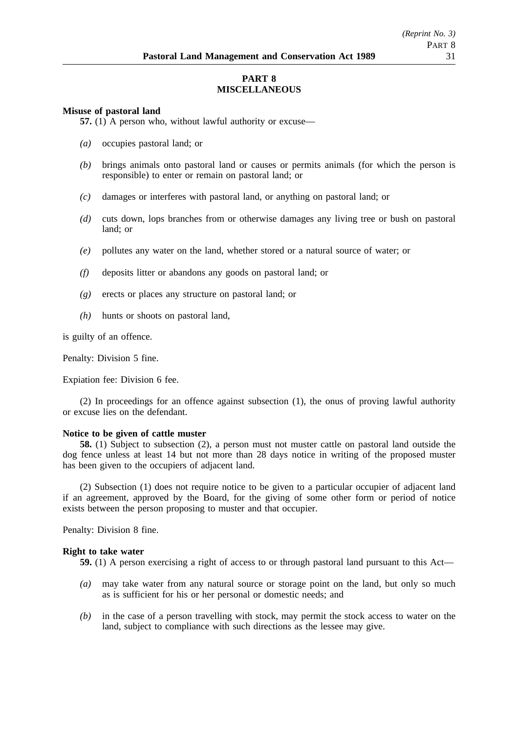## **PART 8 MISCELLANEOUS**

### **Misuse of pastoral land**

**57.** (1) A person who, without lawful authority or excuse—

- *(a)* occupies pastoral land; or
- *(b)* brings animals onto pastoral land or causes or permits animals (for which the person is responsible) to enter or remain on pastoral land; or
- *(c)* damages or interferes with pastoral land, or anything on pastoral land; or
- *(d)* cuts down, lops branches from or otherwise damages any living tree or bush on pastoral land; or
- *(e)* pollutes any water on the land, whether stored or a natural source of water; or
- *(f)* deposits litter or abandons any goods on pastoral land; or
- *(g)* erects or places any structure on pastoral land; or
- *(h)* hunts or shoots on pastoral land,

is guilty of an offence.

Penalty: Division 5 fine.

Expiation fee: Division 6 fee.

(2) In proceedings for an offence against subsection (1), the onus of proving lawful authority or excuse lies on the defendant.

## **Notice to be given of cattle muster**

**58.** (1) Subject to subsection (2), a person must not muster cattle on pastoral land outside the dog fence unless at least 14 but not more than 28 days notice in writing of the proposed muster has been given to the occupiers of adjacent land.

(2) Subsection (1) does not require notice to be given to a particular occupier of adjacent land if an agreement, approved by the Board, for the giving of some other form or period of notice exists between the person proposing to muster and that occupier.

Penalty: Division 8 fine.

## **Right to take water**

- **59.** (1) A person exercising a right of access to or through pastoral land pursuant to this Act—
- *(a)* may take water from any natural source or storage point on the land, but only so much as is sufficient for his or her personal or domestic needs; and
- *(b)* in the case of a person travelling with stock, may permit the stock access to water on the land, subject to compliance with such directions as the lessee may give.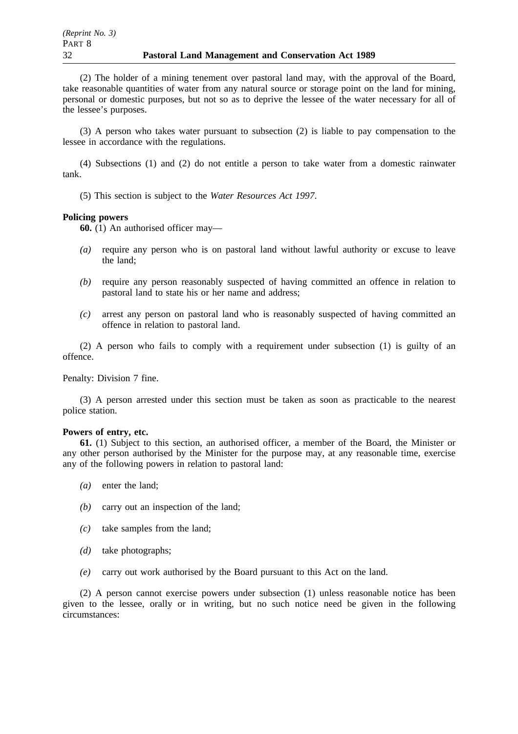(2) The holder of a mining tenement over pastoral land may, with the approval of the Board, take reasonable quantities of water from any natural source or storage point on the land for mining, personal or domestic purposes, but not so as to deprive the lessee of the water necessary for all of the lessee's purposes.

(3) A person who takes water pursuant to subsection (2) is liable to pay compensation to the lessee in accordance with the regulations.

(4) Subsections (1) and (2) do not entitle a person to take water from a domestic rainwater tank.

(5) This section is subject to the *Water Resources Act 1997*.

### **Policing powers**

**60.** (1) An authorised officer may—

- *(a)* require any person who is on pastoral land without lawful authority or excuse to leave the land;
- *(b)* require any person reasonably suspected of having committed an offence in relation to pastoral land to state his or her name and address;
- *(c)* arrest any person on pastoral land who is reasonably suspected of having committed an offence in relation to pastoral land.

(2) A person who fails to comply with a requirement under subsection (1) is guilty of an offence.

Penalty: Division 7 fine.

(3) A person arrested under this section must be taken as soon as practicable to the nearest police station.

#### **Powers of entry, etc.**

**61.** (1) Subject to this section, an authorised officer, a member of the Board, the Minister or any other person authorised by the Minister for the purpose may, at any reasonable time, exercise any of the following powers in relation to pastoral land:

- *(a)* enter the land;
- *(b)* carry out an inspection of the land;
- *(c)* take samples from the land;
- *(d)* take photographs;
- *(e)* carry out work authorised by the Board pursuant to this Act on the land.

(2) A person cannot exercise powers under subsection (1) unless reasonable notice has been given to the lessee, orally or in writing, but no such notice need be given in the following circumstances: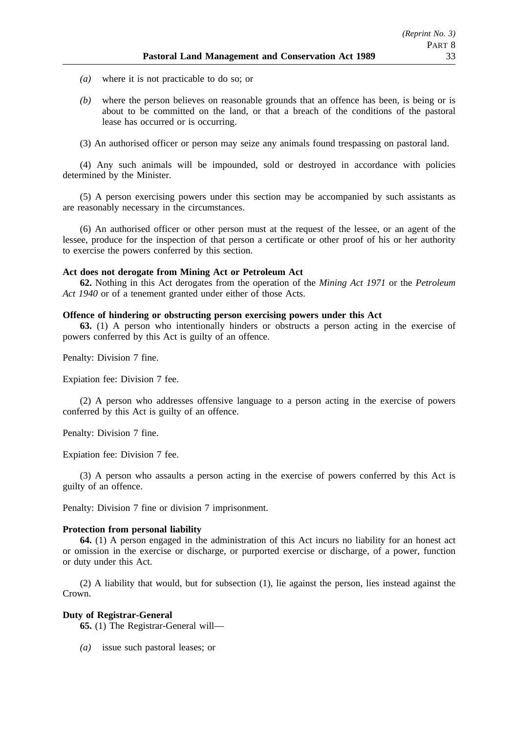- *(a)* where it is not practicable to do so; or
- *(b)* where the person believes on reasonable grounds that an offence has been, is being or is about to be committed on the land, or that a breach of the conditions of the pastoral lease has occurred or is occurring.
- (3) An authorised officer or person may seize any animals found trespassing on pastoral land.

(4) Any such animals will be impounded, sold or destroyed in accordance with policies determined by the Minister.

(5) A person exercising powers under this section may be accompanied by such assistants as are reasonably necessary in the circumstances.

(6) An authorised officer or other person must at the request of the lessee, or an agent of the lessee, produce for the inspection of that person a certificate or other proof of his or her authority to exercise the powers conferred by this section.

## **Act does not derogate from Mining Act or Petroleum Act**

**62.** Nothing in this Act derogates from the operation of the *Mining Act 1971* or the *Petroleum Act 1940* or of a tenement granted under either of those Acts.

## **Offence of hindering or obstructing person exercising powers under this Act**

**63.** (1) A person who intentionally hinders or obstructs a person acting in the exercise of powers conferred by this Act is guilty of an offence.

Penalty: Division 7 fine.

Expiation fee: Division 7 fee.

(2) A person who addresses offensive language to a person acting in the exercise of powers conferred by this Act is guilty of an offence.

Penalty: Division 7 fine.

Expiation fee: Division 7 fee.

(3) A person who assaults a person acting in the exercise of powers conferred by this Act is guilty of an offence.

Penalty: Division 7 fine or division 7 imprisonment.

## **Protection from personal liability**

**64.** (1) A person engaged in the administration of this Act incurs no liability for an honest act or omission in the exercise or discharge, or purported exercise or discharge, of a power, function or duty under this Act.

(2) A liability that would, but for subsection (1), lie against the person, lies instead against the Crown.

## **Duty of Registrar-General**

**65.** (1) The Registrar-General will—

*(a)* issue such pastoral leases; or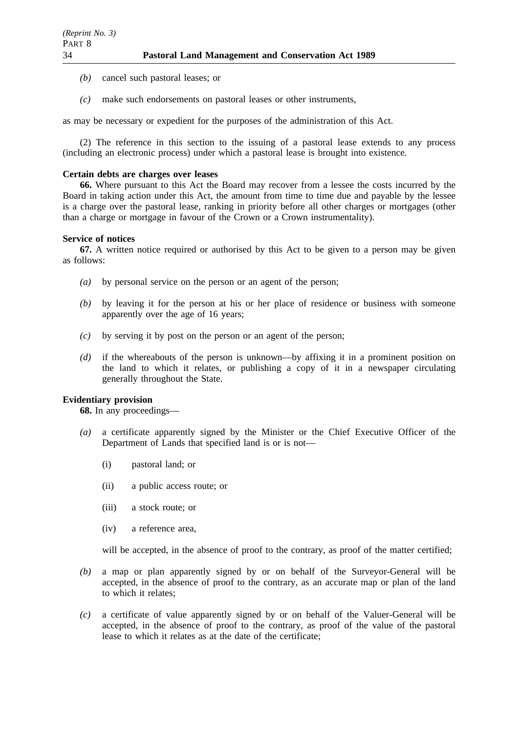- *(b)* cancel such pastoral leases; or
- *(c)* make such endorsements on pastoral leases or other instruments,

as may be necessary or expedient for the purposes of the administration of this Act.

(2) The reference in this section to the issuing of a pastoral lease extends to any process (including an electronic process) under which a pastoral lease is brought into existence.

## **Certain debts are charges over leases**

**66.** Where pursuant to this Act the Board may recover from a lessee the costs incurred by the Board in taking action under this Act, the amount from time to time due and payable by the lessee is a charge over the pastoral lease, ranking in priority before all other charges or mortgages (other than a charge or mortgage in favour of the Crown or a Crown instrumentality).

## **Service of notices**

**67.** A written notice required or authorised by this Act to be given to a person may be given as follows:

- *(a)* by personal service on the person or an agent of the person;
- *(b)* by leaving it for the person at his or her place of residence or business with someone apparently over the age of 16 years;
- *(c)* by serving it by post on the person or an agent of the person;
- *(d)* if the whereabouts of the person is unknown—by affixing it in a prominent position on the land to which it relates, or publishing a copy of it in a newspaper circulating generally throughout the State.

## **Evidentiary provision**

**68.** In any proceedings—

- *(a)* a certificate apparently signed by the Minister or the Chief Executive Officer of the Department of Lands that specified land is or is not—
	- (i) pastoral land; or
	- (ii) a public access route; or
	- (iii) a stock route; or
	- (iv) a reference area,

will be accepted, in the absence of proof to the contrary, as proof of the matter certified;

- *(b)* a map or plan apparently signed by or on behalf of the Surveyor-General will be accepted, in the absence of proof to the contrary, as an accurate map or plan of the land to which it relates;
- *(c)* a certificate of value apparently signed by or on behalf of the Valuer-General will be accepted, in the absence of proof to the contrary, as proof of the value of the pastoral lease to which it relates as at the date of the certificate;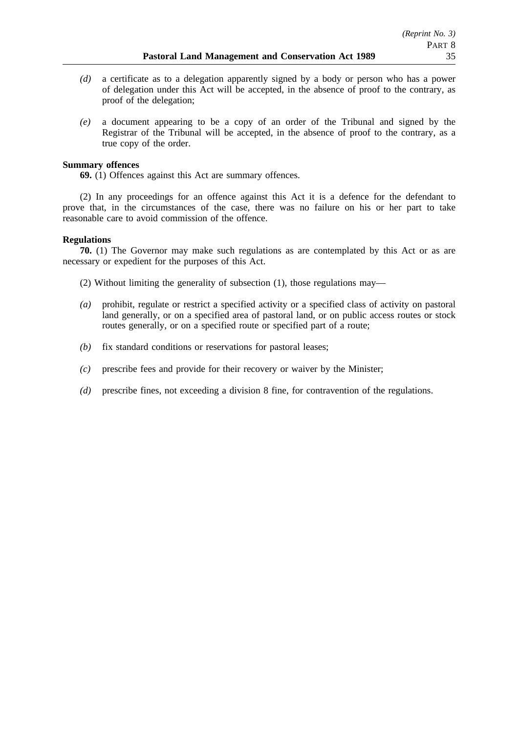- *(d)* a certificate as to a delegation apparently signed by a body or person who has a power of delegation under this Act will be accepted, in the absence of proof to the contrary, as proof of the delegation;
- *(e)* a document appearing to be a copy of an order of the Tribunal and signed by the Registrar of the Tribunal will be accepted, in the absence of proof to the contrary, as a true copy of the order.

## **Summary offences**

**69.** (1) Offences against this Act are summary offences.

(2) In any proceedings for an offence against this Act it is a defence for the defendant to prove that, in the circumstances of the case, there was no failure on his or her part to take reasonable care to avoid commission of the offence.

## **Regulations**

**70.** (1) The Governor may make such regulations as are contemplated by this Act or as are necessary or expedient for the purposes of this Act.

(2) Without limiting the generality of subsection (1), those regulations may—

- *(a)* prohibit, regulate or restrict a specified activity or a specified class of activity on pastoral land generally, or on a specified area of pastoral land, or on public access routes or stock routes generally, or on a specified route or specified part of a route;
- *(b)* fix standard conditions or reservations for pastoral leases;
- *(c)* prescribe fees and provide for their recovery or waiver by the Minister;
- *(d)* prescribe fines, not exceeding a division 8 fine, for contravention of the regulations.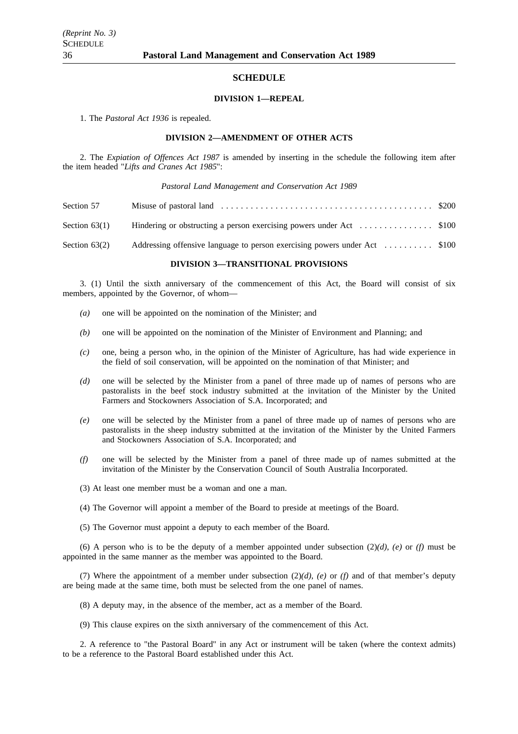#### **SCHEDULE**

#### **DIVISION 1—REPEAL**

1. The *Pastoral Act 1936* is repealed.

#### **DIVISION 2—AMENDMENT OF OTHER ACTS**

2. The *Expiation of Offences Act 1987* is amended by inserting in the schedule the following item after the item headed "*Lifts and Cranes Act 1985*":

#### *Pastoral Land Management and Conservation Act 1989*

| Section 57      |                                                                            |  |
|-----------------|----------------------------------------------------------------------------|--|
| Section $63(1)$ |                                                                            |  |
| Section $63(2)$ | Addressing offensive language to person exercising powers under Act  \$100 |  |

#### **DIVISION 3—TRANSITIONAL PROVISIONS**

3. (1) Until the sixth anniversary of the commencement of this Act, the Board will consist of six members, appointed by the Governor, of whom—

- *(a)* one will be appointed on the nomination of the Minister; and
- *(b)* one will be appointed on the nomination of the Minister of Environment and Planning; and
- *(c)* one, being a person who, in the opinion of the Minister of Agriculture, has had wide experience in the field of soil conservation, will be appointed on the nomination of that Minister; and
- *(d)* one will be selected by the Minister from a panel of three made up of names of persons who are pastoralists in the beef stock industry submitted at the invitation of the Minister by the United Farmers and Stockowners Association of S.A. Incorporated; and
- *(e)* one will be selected by the Minister from a panel of three made up of names of persons who are pastoralists in the sheep industry submitted at the invitation of the Minister by the United Farmers and Stockowners Association of S.A. Incorporated; and
- *(f)* one will be selected by the Minister from a panel of three made up of names submitted at the invitation of the Minister by the Conservation Council of South Australia Incorporated.
- (3) At least one member must be a woman and one a man.
- (4) The Governor will appoint a member of the Board to preside at meetings of the Board.
- (5) The Governor must appoint a deputy to each member of the Board.

(6) A person who is to be the deputy of a member appointed under subsection  $(2)(d)$ ,  $(e)$  or  $(f)$  must be appointed in the same manner as the member was appointed to the Board.

(7) Where the appointment of a member under subsection  $(2)(d)$ ,  $(e)$  or  $(f)$  and of that member's deputy are being made at the same time, both must be selected from the one panel of names.

- (8) A deputy may, in the absence of the member, act as a member of the Board.
- (9) This clause expires on the sixth anniversary of the commencement of this Act.

2. A reference to "the Pastoral Board" in any Act or instrument will be taken (where the context admits) to be a reference to the Pastoral Board established under this Act.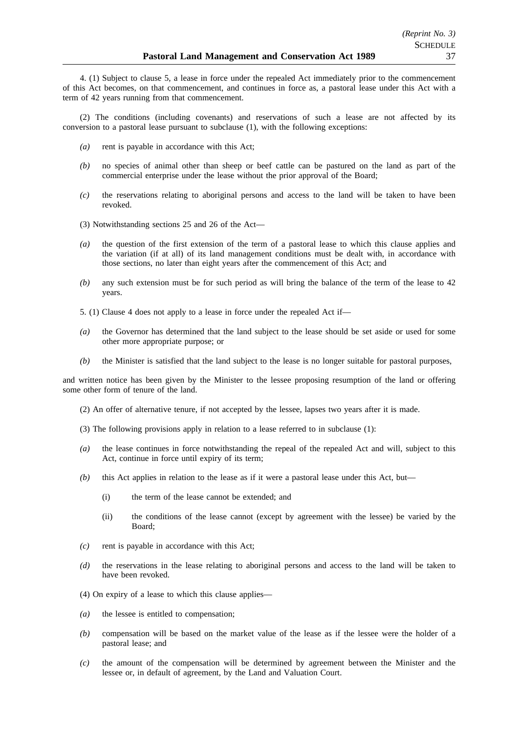4. (1) Subject to clause 5, a lease in force under the repealed Act immediately prior to the commencement of this Act becomes, on that commencement, and continues in force as, a pastoral lease under this Act with a term of 42 years running from that commencement.

(2) The conditions (including covenants) and reservations of such a lease are not affected by its conversion to a pastoral lease pursuant to subclause (1), with the following exceptions:

- *(a)* rent is payable in accordance with this Act;
- *(b)* no species of animal other than sheep or beef cattle can be pastured on the land as part of the commercial enterprise under the lease without the prior approval of the Board;
- *(c)* the reservations relating to aboriginal persons and access to the land will be taken to have been revoked.
- (3) Notwithstanding sections 25 and 26 of the Act—
- *(a)* the question of the first extension of the term of a pastoral lease to which this clause applies and the variation (if at all) of its land management conditions must be dealt with, in accordance with those sections, no later than eight years after the commencement of this Act; and
- *(b)* any such extension must be for such period as will bring the balance of the term of the lease to 42 years.
- 5. (1) Clause 4 does not apply to a lease in force under the repealed Act if—
- *(a)* the Governor has determined that the land subject to the lease should be set aside or used for some other more appropriate purpose; or
- *(b)* the Minister is satisfied that the land subject to the lease is no longer suitable for pastoral purposes,

and written notice has been given by the Minister to the lessee proposing resumption of the land or offering some other form of tenure of the land.

- (2) An offer of alternative tenure, if not accepted by the lessee, lapses two years after it is made.
- (3) The following provisions apply in relation to a lease referred to in subclause (1):
- *(a)* the lease continues in force notwithstanding the repeal of the repealed Act and will, subject to this Act, continue in force until expiry of its term;
- *(b)* this Act applies in relation to the lease as if it were a pastoral lease under this Act, but—
	- (i) the term of the lease cannot be extended; and
	- (ii) the conditions of the lease cannot (except by agreement with the lessee) be varied by the Board;
- *(c)* rent is payable in accordance with this Act;
- *(d)* the reservations in the lease relating to aboriginal persons and access to the land will be taken to have been revoked.
- (4) On expiry of a lease to which this clause applies—
- *(a)* the lessee is entitled to compensation;
- *(b)* compensation will be based on the market value of the lease as if the lessee were the holder of a pastoral lease; and
- *(c)* the amount of the compensation will be determined by agreement between the Minister and the lessee or, in default of agreement, by the Land and Valuation Court.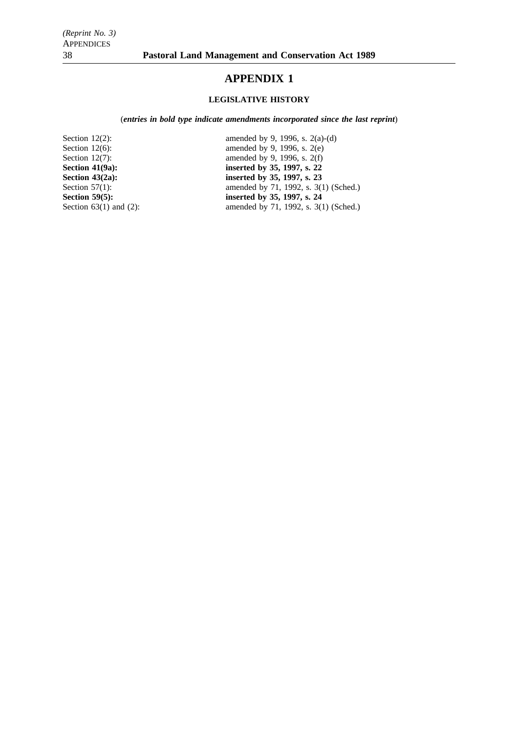## **APPENDIX 1**

## **LEGISLATIVE HISTORY**

(*entries in bold type indicate amendments incorporated since the last reprint*)

Section 12(2): amended by 9, 1996, s. 2(a)-(d)<br>Section 12(6): amended by 9, 1996, s. 2(e) Section 12(6): amended by 9, 1996, s. 2(e)<br>Section 12(7): amended by 9, 1996, s. 2(f) Section 12(7): amended by 9, 1996, s. 2(f)<br>Section 41(9a): inserted by 35, 1997, s. 22 **Section 41(9a):** inserted by 35, 1997, s. 22<br>Section 43(2a): inserted by 35, 1997, s. 23 **Section 43(2a): inserted by 35, 1997, s. 23**<br>Section 57(1): **imserted by 35, 1997, s. 23** Section 57(1): amended by 71, 1992, s. 3(1) (Sched.)<br>Section 59(5): inserted by 35, 1997, s. 24 **Section 59(5): inserted by 35, 1997, s. 24**<br>Section 63(1) and (2): **imserted by 35, 1997, s. 24** amended by 71, 1992, s.  $3(1)$  (Sched.)